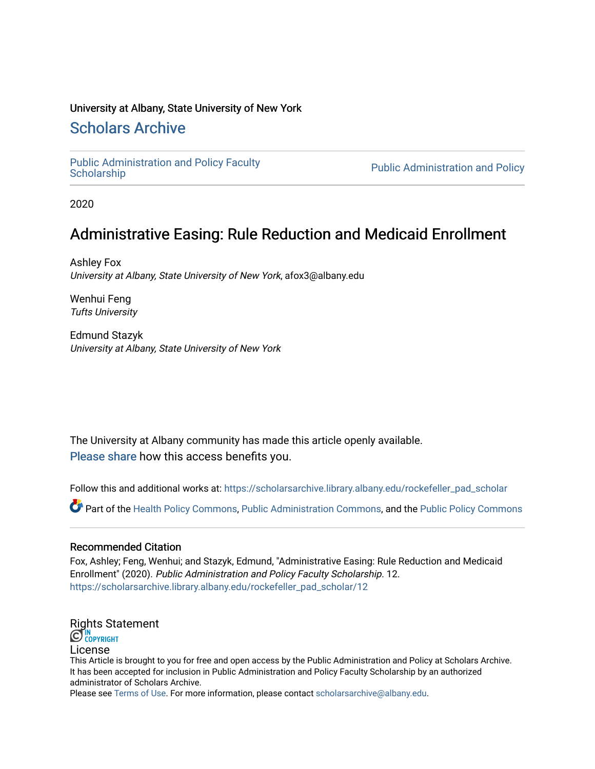#### University at Albany, State University of New York

# [Scholars Archive](https://scholarsarchive.library.albany.edu/)

[Public Administration and Policy Faculty](https://scholarsarchive.library.albany.edu/rockefeller_pad_scholar) 

Public Administration and Policy

2020

# Administrative Easing: Rule Reduction and Medicaid Enrollment

Ashley Fox University at Albany, State University of New York, afox3@albany.edu

Wenhui Feng Tufts University

Edmund Stazyk University at Albany, State University of New York

The University at Albany community has made this article openly available. [Please share](https://albany.libwizard.com/f/open-access-feedback) how this access benefits you.

Follow this and additional works at: [https://scholarsarchive.library.albany.edu/rockefeller\\_pad\\_scholar](https://scholarsarchive.library.albany.edu/rockefeller_pad_scholar?utm_source=scholarsarchive.library.albany.edu%2Frockefeller_pad_scholar%2F12&utm_medium=PDF&utm_campaign=PDFCoverPages)

Part of the [Health Policy Commons](https://network.bepress.com/hgg/discipline/395?utm_source=scholarsarchive.library.albany.edu%2Frockefeller_pad_scholar%2F12&utm_medium=PDF&utm_campaign=PDFCoverPages), [Public Administration Commons](https://network.bepress.com/hgg/discipline/398?utm_source=scholarsarchive.library.albany.edu%2Frockefeller_pad_scholar%2F12&utm_medium=PDF&utm_campaign=PDFCoverPages), and the [Public Policy Commons](https://network.bepress.com/hgg/discipline/400?utm_source=scholarsarchive.library.albany.edu%2Frockefeller_pad_scholar%2F12&utm_medium=PDF&utm_campaign=PDFCoverPages) 

#### Recommended Citation

Fox, Ashley; Feng, Wenhui; and Stazyk, Edmund, "Administrative Easing: Rule Reduction and Medicaid Enrollment" (2020). Public Administration and Policy Faculty Scholarship. 12. [https://scholarsarchive.library.albany.edu/rockefeller\\_pad\\_scholar/12](https://scholarsarchive.library.albany.edu/rockefeller_pad_scholar/12?utm_source=scholarsarchive.library.albany.edu%2Frockefeller_pad_scholar%2F12&utm_medium=PDF&utm_campaign=PDFCoverPages) 

# [Rights Sta](http://rightsstatements.org/vocab/InC/1.0/)tement

License

This Article is brought to you for free and open access by the Public Administration and Policy at Scholars Archive. It has been accepted for inclusion in Public Administration and Policy Faculty Scholarship by an authorized administrator of Scholars Archive.

Please see [Terms of Use.](https://scholarsarchive.library.albany.edu/terms_of_use.html) For more information, please contact [scholarsarchive@albany.edu](mailto:scholarsarchive@albany.edu).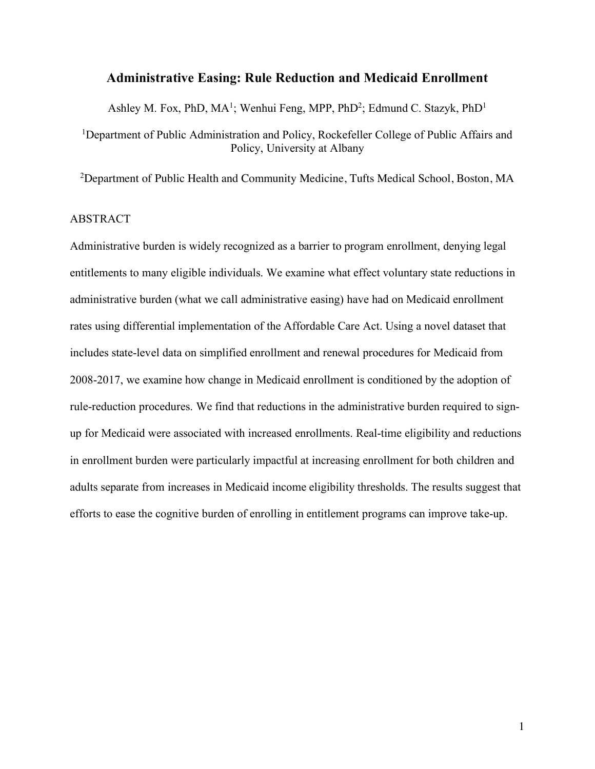#### **Administrative Easing: Rule Reduction and Medicaid Enrollment**

Ashley M. Fox, PhD, MA<sup>1</sup>; Wenhui Feng, MPP, PhD<sup>2</sup>; Edmund C. Stazyk, PhD<sup>1</sup>

<sup>1</sup>Department of Public Administration and Policy, Rockefeller College of Public Affairs and Policy, University at Albany

<sup>2</sup>Department of Public Health and Community Medicine, Tufts Medical School, Boston, MA

### ABSTRACT

Administrative burden is widely recognized as a barrier to program enrollment, denying legal entitlements to many eligible individuals. We examine what effect voluntary state reductions in administrative burden (what we call administrative easing) have had on Medicaid enrollment rates using differential implementation of the Affordable Care Act. Using a novel dataset that includes state-level data on simplified enrollment and renewal procedures for Medicaid from 2008-2017, we examine how change in Medicaid enrollment is conditioned by the adoption of rule-reduction procedures. We find that reductions in the administrative burden required to signup for Medicaid were associated with increased enrollments. Real-time eligibility and reductions in enrollment burden were particularly impactful at increasing enrollment for both children and adults separate from increases in Medicaid income eligibility thresholds. The results suggest that efforts to ease the cognitive burden of enrolling in entitlement programs can improve take-up.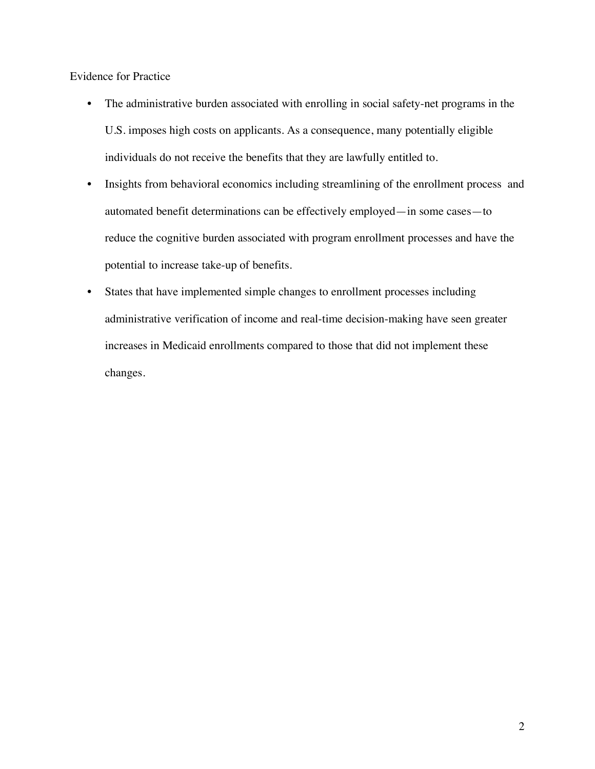Evidence for Practice

- The administrative burden associated with enrolling in social safety-net programs in the U.S. imposes high costs on applicants. As a consequence, many potentially eligible individuals do not receive the benefits that they are lawfully entitled to.
- Insights from behavioral economics including streamlining of the enrollment process and automated benefit determinations can be effectively employed—in some cases—to reduce the cognitive burden associated with program enrollment processes and have the potential to increase take-up of benefits.
- States that have implemented simple changes to enrollment processes including administrative verification of income and real-time decision-making have seen greater increases in Medicaid enrollments compared to those that did not implement these changes.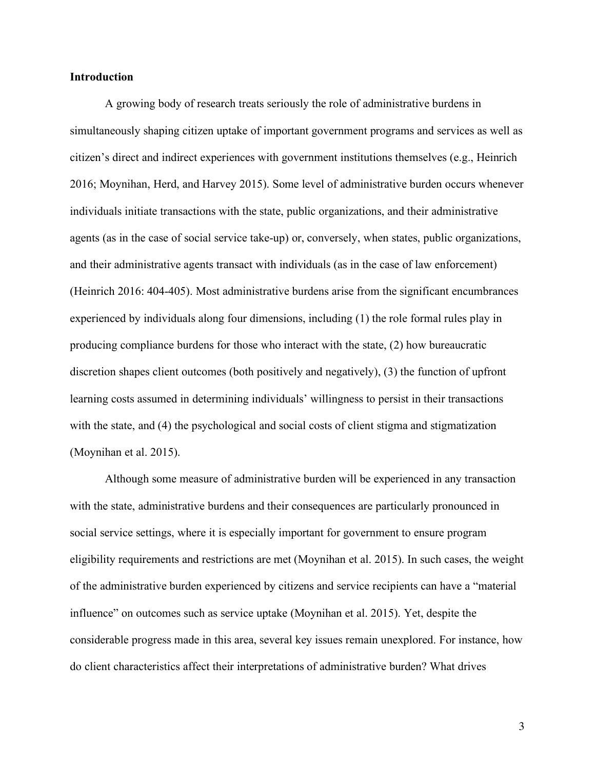#### **Introduction**

A growing body of research treats seriously the role of administrative burdens in simultaneously shaping citizen uptake of important government programs and services as well as citizen's direct and indirect experiences with government institutions themselves (e.g., Heinrich 2016; Moynihan, Herd, and Harvey 2015). Some level of administrative burden occurs whenever individuals initiate transactions with the state, public organizations, and their administrative agents (as in the case of social service take-up) or, conversely, when states, public organizations, and their administrative agents transact with individuals (as in the case of law enforcement) (Heinrich 2016: 404-405). Most administrative burdens arise from the significant encumbrances experienced by individuals along four dimensions, including (1) the role formal rules play in producing compliance burdens for those who interact with the state, (2) how bureaucratic discretion shapes client outcomes (both positively and negatively), (3) the function of upfront learning costs assumed in determining individuals' willingness to persist in their transactions with the state, and (4) the psychological and social costs of client stigma and stigmatization (Moynihan et al. 2015).

Although some measure of administrative burden will be experienced in any transaction with the state, administrative burdens and their consequences are particularly pronounced in social service settings, where it is especially important for government to ensure program eligibility requirements and restrictions are met (Moynihan et al. 2015). In such cases, the weight of the administrative burden experienced by citizens and service recipients can have a "material influence" on outcomes such as service uptake (Moynihan et al. 2015). Yet, despite the considerable progress made in this area, several key issues remain unexplored. For instance, how do client characteristics affect their interpretations of administrative burden? What drives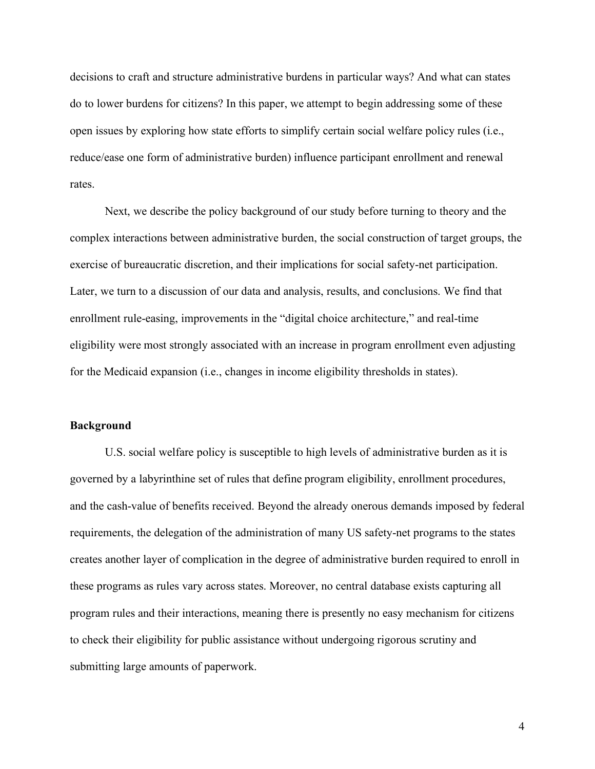decisions to craft and structure administrative burdens in particular ways? And what can states do to lower burdens for citizens? In this paper, we attempt to begin addressing some of these open issues by exploring how state efforts to simplify certain social welfare policy rules (i.e., reduce/ease one form of administrative burden) influence participant enrollment and renewal rates.

Next, we describe the policy background of our study before turning to theory and the complex interactions between administrative burden, the social construction of target groups, the exercise of bureaucratic discretion, and their implications for social safety-net participation. Later, we turn to a discussion of our data and analysis, results, and conclusions. We find that enrollment rule-easing, improvements in the "digital choice architecture," and real-time eligibility were most strongly associated with an increase in program enrollment even adjusting for the Medicaid expansion (i.e., changes in income eligibility thresholds in states).

#### **Background**

U.S. social welfare policy is susceptible to high levels of administrative burden as it is governed by a labyrinthine set of rules that define program eligibility, enrollment procedures, and the cash-value of benefits received. Beyond the already onerous demands imposed by federal requirements, the delegation of the administration of many US safety-net programs to the states creates another layer of complication in the degree of administrative burden required to enroll in these programs as rules vary across states. Moreover, no central database exists capturing all program rules and their interactions, meaning there is presently no easy mechanism for citizens to check their eligibility for public assistance without undergoing rigorous scrutiny and submitting large amounts of paperwork.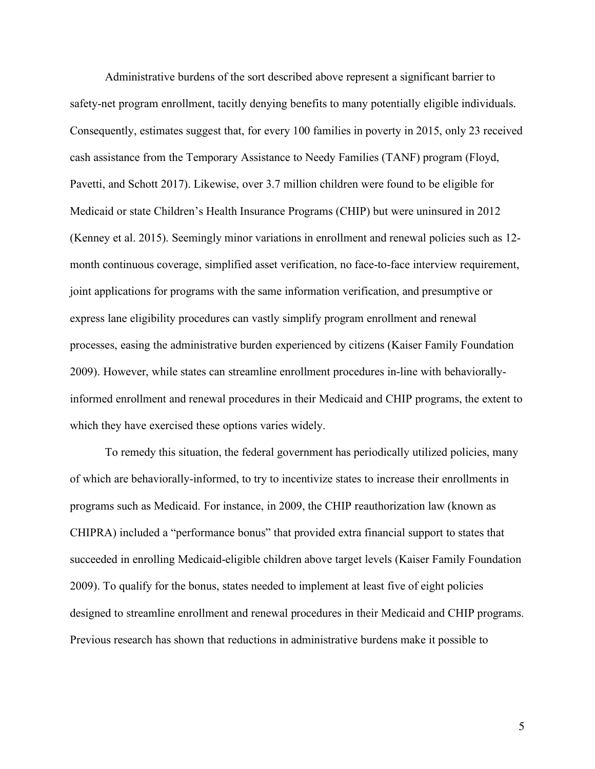Administrative burdens of the sort described above represent a significant barrier to safety-net program enrollment, tacitly denying benefits to many potentially eligible individuals. Consequently, estimates suggest that, for every 100 families in poverty in 2015, only 23 received cash assistance from the Temporary Assistance to Needy Families (TANF) program (Floyd, Pavetti, and Schott 2017). Likewise, over 3.7 million children were found to be eligible for Medicaid or state Children's Health Insurance Programs (CHIP) but were uninsured in 2012 (Kenney et al. 2015). Seemingly minor variations in enrollment and renewal policies such as 12 month continuous coverage, simplified asset verification, no face-to-face interview requirement, joint applications for programs with the same information verification, and presumptive or express lane eligibility procedures can vastly simplify program enrollment and renewal processes, easing the administrative burden experienced by citizens (Kaiser Family Foundation 2009). However, while states can streamline enrollment procedures in-line with behaviorallyinformed enrollment and renewal procedures in their Medicaid and CHIP programs, the extent to which they have exercised these options varies widely.

To remedy this situation, the federal government has periodically utilized policies, many of which are behaviorally-informed, to try to incentivize states to increase their enrollments in programs such as Medicaid. For instance, in 2009, the CHIP reauthorization law (known as CHIPRA) included a "performance bonus" that provided extra financial support to states that succeeded in enrolling Medicaid-eligible children above target levels (Kaiser Family Foundation 2009). To qualify for the bonus, states needed to implement at least five of eight policies designed to streamline enrollment and renewal procedures in their Medicaid and CHIP programs. Previous research has shown that reductions in administrative burdens make it possible to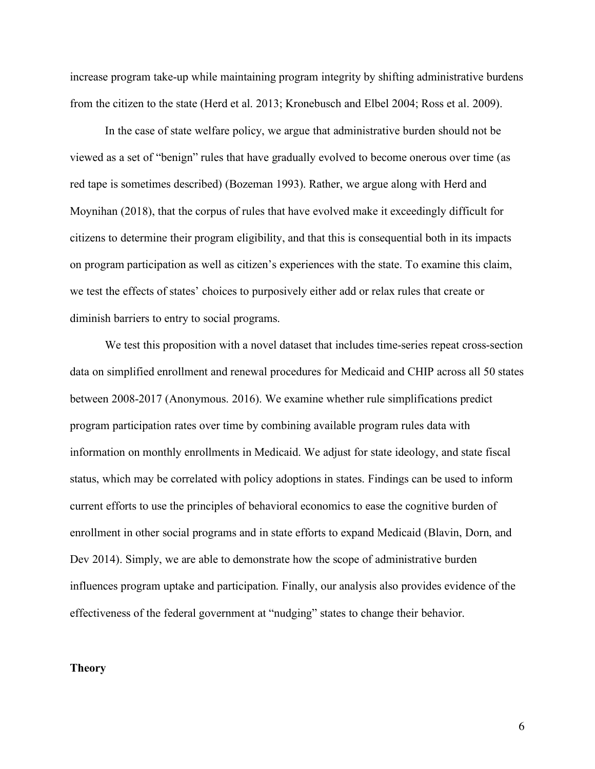increase program take-up while maintaining program integrity by shifting administrative burdens from the citizen to the state (Herd et al. 2013; Kronebusch and Elbel 2004; Ross et al. 2009).

In the case of state welfare policy, we argue that administrative burden should not be viewed as a set of "benign" rules that have gradually evolved to become onerous over time (as red tape is sometimes described) (Bozeman 1993). Rather, we argue along with Herd and Moynihan (2018), that the corpus of rules that have evolved make it exceedingly difficult for citizens to determine their program eligibility, and that this is consequential both in its impacts on program participation as well as citizen's experiences with the state. To examine this claim, we test the effects of states' choices to purposively either add or relax rules that create or diminish barriers to entry to social programs.

We test this proposition with a novel dataset that includes time-series repeat cross-section data on simplified enrollment and renewal procedures for Medicaid and CHIP across all 50 states between 2008-2017 (Anonymous. 2016). We examine whether rule simplifications predict program participation rates over time by combining available program rules data with information on monthly enrollments in Medicaid. We adjust for state ideology, and state fiscal status, which may be correlated with policy adoptions in states. Findings can be used to inform current efforts to use the principles of behavioral economics to ease the cognitive burden of enrollment in other social programs and in state efforts to expand Medicaid (Blavin, Dorn, and Dev 2014). Simply, we are able to demonstrate how the scope of administrative burden influences program uptake and participation. Finally, our analysis also provides evidence of the effectiveness of the federal government at "nudging" states to change their behavior.

#### **Theory**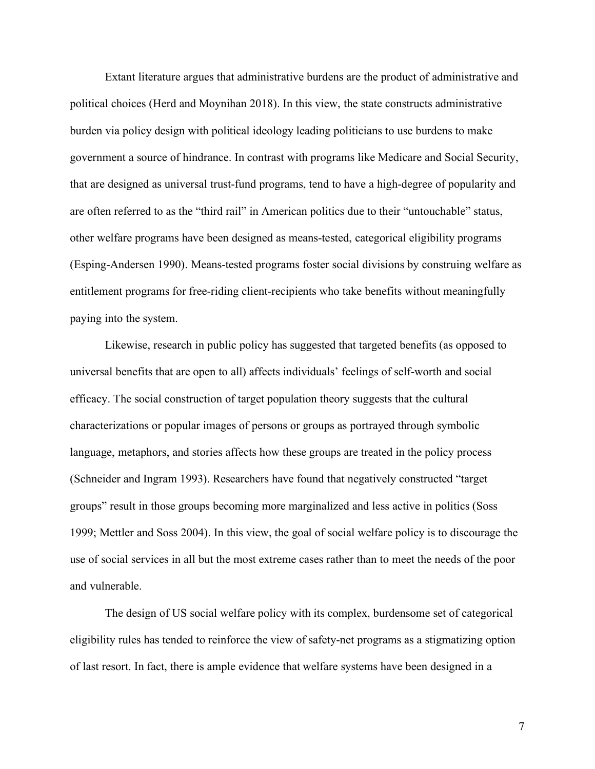Extant literature argues that administrative burdens are the product of administrative and political choices (Herd and Moynihan 2018). In this view, the state constructs administrative burden via policy design with political ideology leading politicians to use burdens to make government a source of hindrance. In contrast with programs like Medicare and Social Security, that are designed as universal trust-fund programs, tend to have a high-degree of popularity and are often referred to as the "third rail" in American politics due to their "untouchable" status, other welfare programs have been designed as means-tested, categorical eligibility programs (Esping-Andersen 1990). Means-tested programs foster social divisions by construing welfare as entitlement programs for free-riding client-recipients who take benefits without meaningfully paying into the system.

Likewise, research in public policy has suggested that targeted benefits (as opposed to universal benefits that are open to all) affects individuals' feelings of self-worth and social efficacy. The social construction of target population theory suggests that the cultural characterizations or popular images of persons or groups as portrayed through symbolic language, metaphors, and stories affects how these groups are treated in the policy process (Schneider and Ingram 1993). Researchers have found that negatively constructed "target groups" result in those groups becoming more marginalized and less active in politics (Soss 1999; Mettler and Soss 2004). In this view, the goal of social welfare policy is to discourage the use of social services in all but the most extreme cases rather than to meet the needs of the poor and vulnerable.

The design of US social welfare policy with its complex, burdensome set of categorical eligibility rules has tended to reinforce the view of safety-net programs as a stigmatizing option of last resort. In fact, there is ample evidence that welfare systems have been designed in a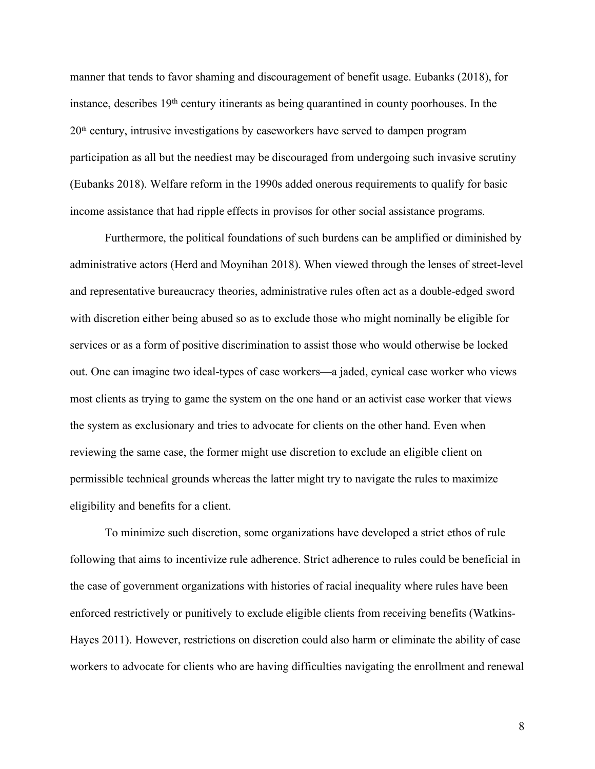manner that tends to favor shaming and discouragement of benefit usage. Eubanks (2018), for instance, describes 19<sup>th</sup> century itinerants as being quarantined in county poorhouses. In the 20th century, intrusive investigations by caseworkers have served to dampen program participation as all but the neediest may be discouraged from undergoing such invasive scrutiny (Eubanks 2018). Welfare reform in the 1990s added onerous requirements to qualify for basic income assistance that had ripple effects in provisos for other social assistance programs.

Furthermore, the political foundations of such burdens can be amplified or diminished by administrative actors (Herd and Moynihan 2018). When viewed through the lenses of street-level and representative bureaucracy theories, administrative rules often act as a double-edged sword with discretion either being abused so as to exclude those who might nominally be eligible for services or as a form of positive discrimination to assist those who would otherwise be locked out. One can imagine two ideal-types of case workers—a jaded, cynical case worker who views most clients as trying to game the system on the one hand or an activist case worker that views the system as exclusionary and tries to advocate for clients on the other hand. Even when reviewing the same case, the former might use discretion to exclude an eligible client on permissible technical grounds whereas the latter might try to navigate the rules to maximize eligibility and benefits for a client.

To minimize such discretion, some organizations have developed a strict ethos of rule following that aims to incentivize rule adherence. Strict adherence to rules could be beneficial in the case of government organizations with histories of racial inequality where rules have been enforced restrictively or punitively to exclude eligible clients from receiving benefits (Watkins-Hayes 2011). However, restrictions on discretion could also harm or eliminate the ability of case workers to advocate for clients who are having difficulties navigating the enrollment and renewal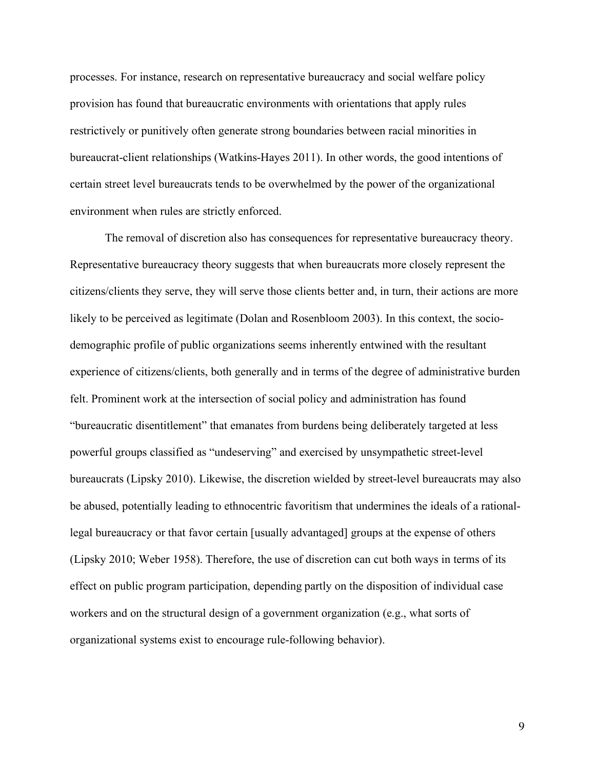processes. For instance, research on representative bureaucracy and social welfare policy provision has found that bureaucratic environments with orientations that apply rules restrictively or punitively often generate strong boundaries between racial minorities in bureaucrat-client relationships (Watkins-Hayes 2011). In other words, the good intentions of certain street level bureaucrats tends to be overwhelmed by the power of the organizational environment when rules are strictly enforced.

The removal of discretion also has consequences for representative bureaucracy theory. Representative bureaucracy theory suggests that when bureaucrats more closely represent the citizens/clients they serve, they will serve those clients better and, in turn, their actions are more likely to be perceived as legitimate (Dolan and Rosenbloom 2003). In this context, the sociodemographic profile of public organizations seems inherently entwined with the resultant experience of citizens/clients, both generally and in terms of the degree of administrative burden felt. Prominent work at the intersection of social policy and administration has found "bureaucratic disentitlement" that emanates from burdens being deliberately targeted at less powerful groups classified as "undeserving" and exercised by unsympathetic street-level bureaucrats (Lipsky 2010). Likewise, the discretion wielded by street-level bureaucrats may also be abused, potentially leading to ethnocentric favoritism that undermines the ideals of a rationallegal bureaucracy or that favor certain [usually advantaged] groups at the expense of others (Lipsky 2010; Weber 1958). Therefore, the use of discretion can cut both ways in terms of its effect on public program participation, depending partly on the disposition of individual case workers and on the structural design of a government organization (e.g., what sorts of organizational systems exist to encourage rule-following behavior).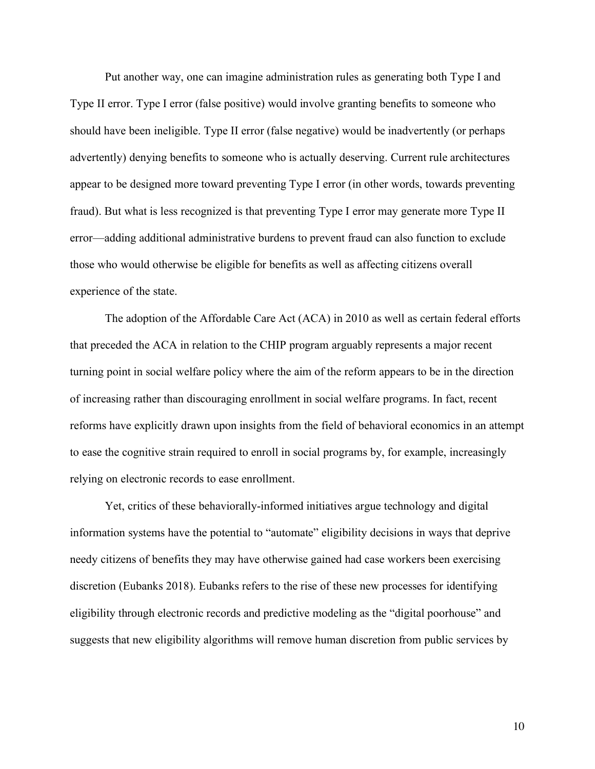Put another way, one can imagine administration rules as generating both Type I and Type II error. Type I error (false positive) would involve granting benefits to someone who should have been ineligible. Type II error (false negative) would be inadvertently (or perhaps advertently) denying benefits to someone who is actually deserving. Current rule architectures appear to be designed more toward preventing Type I error (in other words, towards preventing fraud). But what is less recognized is that preventing Type I error may generate more Type II error—adding additional administrative burdens to prevent fraud can also function to exclude those who would otherwise be eligible for benefits as well as affecting citizens overall experience of the state.

The adoption of the Affordable Care Act (ACA) in 2010 as well as certain federal efforts that preceded the ACA in relation to the CHIP program arguably represents a major recent turning point in social welfare policy where the aim of the reform appears to be in the direction of increasing rather than discouraging enrollment in social welfare programs. In fact, recent reforms have explicitly drawn upon insights from the field of behavioral economics in an attempt to ease the cognitive strain required to enroll in social programs by, for example, increasingly relying on electronic records to ease enrollment.

Yet, critics of these behaviorally-informed initiatives argue technology and digital information systems have the potential to "automate" eligibility decisions in ways that deprive needy citizens of benefits they may have otherwise gained had case workers been exercising discretion (Eubanks 2018). Eubanks refers to the rise of these new processes for identifying eligibility through electronic records and predictive modeling as the "digital poorhouse" and suggests that new eligibility algorithms will remove human discretion from public services by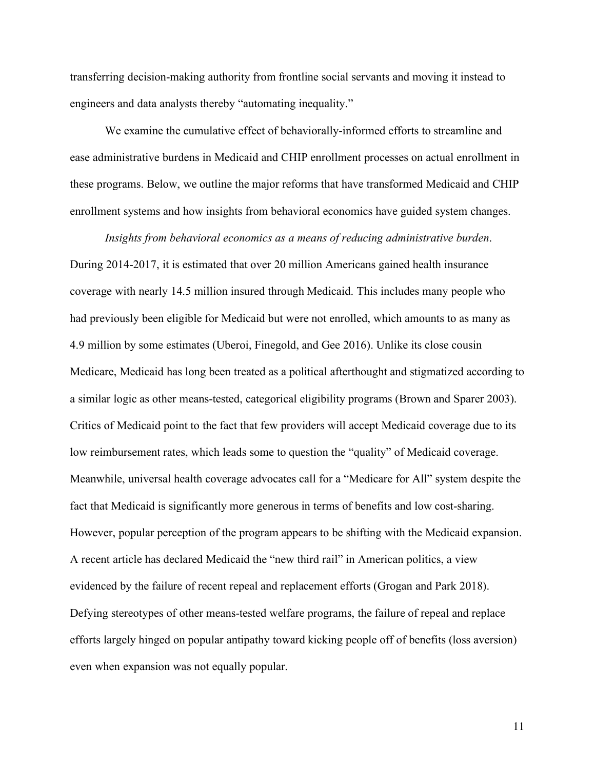transferring decision-making authority from frontline social servants and moving it instead to engineers and data analysts thereby "automating inequality."

We examine the cumulative effect of behaviorally-informed efforts to streamline and ease administrative burdens in Medicaid and CHIP enrollment processes on actual enrollment in these programs. Below, we outline the major reforms that have transformed Medicaid and CHIP enrollment systems and how insights from behavioral economics have guided system changes.

*Insights from behavioral economics as a means of reducing administrative burden*. During 2014-2017, it is estimated that over 20 million Americans gained health insurance coverage with nearly 14.5 million insured through Medicaid. This includes many people who had previously been eligible for Medicaid but were not enrolled, which amounts to as many as 4.9 million by some estimates (Uberoi, Finegold, and Gee 2016). Unlike its close cousin Medicare, Medicaid has long been treated as a political afterthought and stigmatized according to a similar logic as other means-tested, categorical eligibility programs (Brown and Sparer 2003). Critics of Medicaid point to the fact that few providers will accept Medicaid coverage due to its low reimbursement rates, which leads some to question the "quality" of Medicaid coverage. Meanwhile, universal health coverage advocates call for a "Medicare for All" system despite the fact that Medicaid is significantly more generous in terms of benefits and low cost-sharing. However, popular perception of the program appears to be shifting with the Medicaid expansion. A recent article has declared Medicaid the "new third rail" in American politics, a view evidenced by the failure of recent repeal and replacement efforts (Grogan and Park 2018). Defying stereotypes of other means-tested welfare programs, the failure of repeal and replace efforts largely hinged on popular antipathy toward kicking people off of benefits (loss aversion) even when expansion was not equally popular.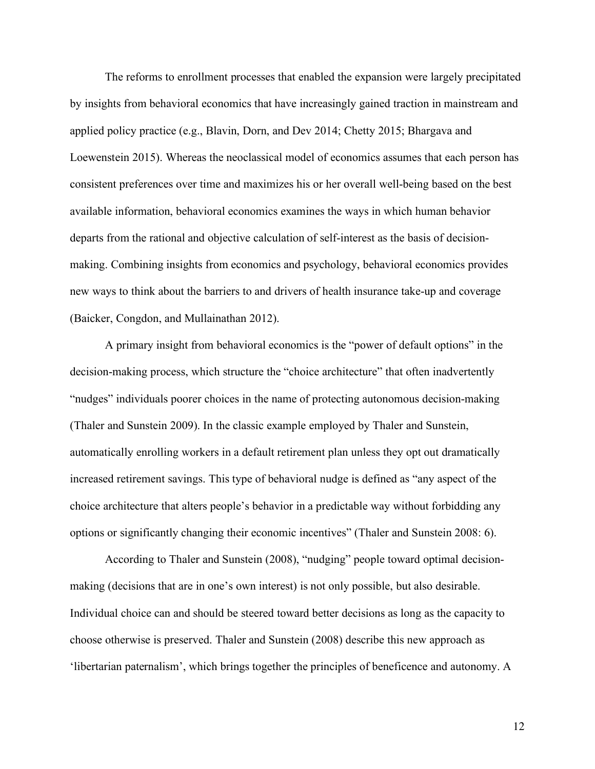The reforms to enrollment processes that enabled the expansion were largely precipitated by insights from behavioral economics that have increasingly gained traction in mainstream and applied policy practice (e.g., Blavin, Dorn, and Dev 2014; Chetty 2015; Bhargava and Loewenstein 2015). Whereas the neoclassical model of economics assumes that each person has consistent preferences over time and maximizes his or her overall well-being based on the best available information, behavioral economics examines the ways in which human behavior departs from the rational and objective calculation of self-interest as the basis of decisionmaking. Combining insights from economics and psychology, behavioral economics provides new ways to think about the barriers to and drivers of health insurance take-up and coverage (Baicker, Congdon, and Mullainathan 2012).

A primary insight from behavioral economics is the "power of default options" in the decision-making process, which structure the "choice architecture" that often inadvertently "nudges" individuals poorer choices in the name of protecting autonomous decision-making (Thaler and Sunstein 2009). In the classic example employed by Thaler and Sunstein, automatically enrolling workers in a default retirement plan unless they opt out dramatically increased retirement savings. This type of behavioral nudge is defined as "any aspect of the choice architecture that alters people's behavior in a predictable way without forbidding any options or significantly changing their economic incentives" (Thaler and Sunstein 2008: 6).

According to Thaler and Sunstein (2008), "nudging" people toward optimal decisionmaking (decisions that are in one's own interest) is not only possible, but also desirable. Individual choice can and should be steered toward better decisions as long as the capacity to choose otherwise is preserved. Thaler and Sunstein (2008) describe this new approach as 'libertarian paternalism', which brings together the principles of beneficence and autonomy. A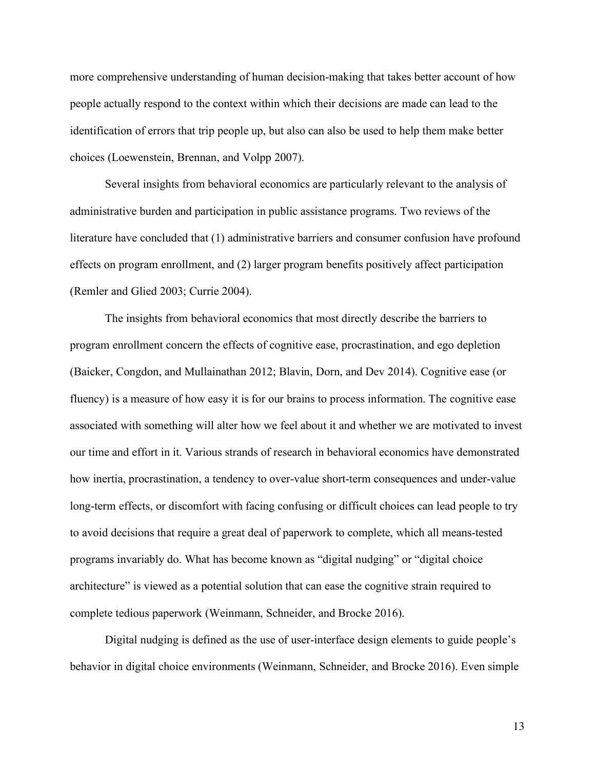more comprehensive understanding of human decision-making that takes better account of how people actually respond to the context within which their decisions are made can lead to the identification of errors that trip people up, but also can also be used to help them make better choices (Loewenstein, Brennan, and Volpp 2007).

Several insights from behavioral economics are particularly relevant to the analysis of administrative burden and participation in public assistance programs. Two reviews of the literature have concluded that (1) administrative barriers and consumer confusion have profound effects on program enrollment, and (2) larger program benefits positively affect participation (Remler and Glied 2003; Currie 2004).

The insights from behavioral economics that most directly describe the barriers to program enrollment concern the effects of cognitive ease, procrastination, and ego depletion (Baicker, Congdon, and Mullainathan 2012; Blavin, Dorn, and Dev 2014). Cognitive ease (or fluency) is a measure of how easy it is for our brains to process information. The cognitive ease associated with something will alter how we feel about it and whether we are motivated to invest our time and effort in it. Various strands of research in behavioral economics have demonstrated how inertia, procrastination, a tendency to over-value short-term consequences and under-value long-term effects, or discomfort with facing confusing or difficult choices can lead people to try to avoid decisions that require a great deal of paperwork to complete, which all means-tested programs invariably do. What has become known as "digital nudging" or "digital choice architecture" is viewed as a potential solution that can ease the cognitive strain required to complete tedious paperwork (Weinmann, Schneider, and Brocke 2016).

Digital nudging is defined as the use of user-interface design elements to guide people's behavior in digital choice environments (Weinmann, Schneider, and Brocke 2016). Even simple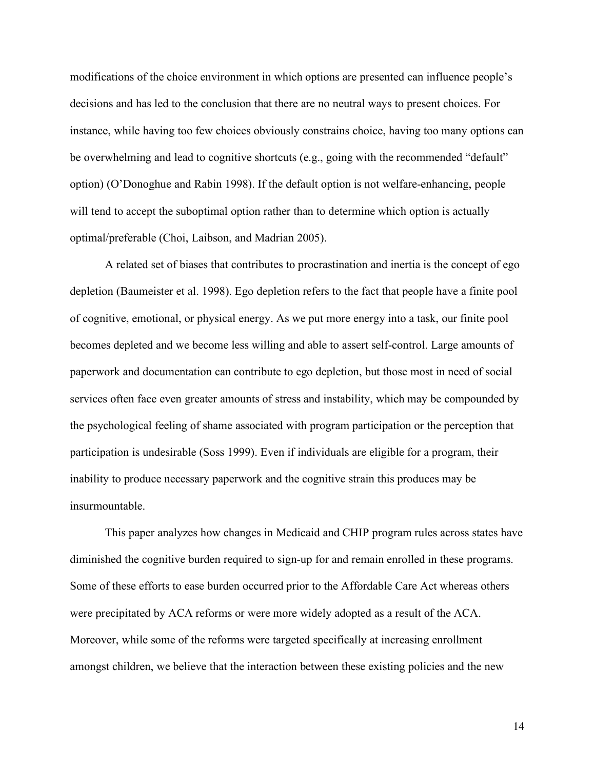modifications of the choice environment in which options are presented can influence people's decisions and has led to the conclusion that there are no neutral ways to present choices. For instance, while having too few choices obviously constrains choice, having too many options can be overwhelming and lead to cognitive shortcuts (e.g., going with the recommended "default" option) (O'Donoghue and Rabin 1998). If the default option is not welfare-enhancing, people will tend to accept the suboptimal option rather than to determine which option is actually optimal/preferable (Choi, Laibson, and Madrian 2005).

A related set of biases that contributes to procrastination and inertia is the concept of ego depletion (Baumeister et al. 1998). Ego depletion refers to the fact that people have a finite pool of cognitive, emotional, or physical energy. As we put more energy into a task, our finite pool becomes depleted and we become less willing and able to assert self-control. Large amounts of paperwork and documentation can contribute to ego depletion, but those most in need of social services often face even greater amounts of stress and instability, which may be compounded by the psychological feeling of shame associated with program participation or the perception that participation is undesirable (Soss 1999). Even if individuals are eligible for a program, their inability to produce necessary paperwork and the cognitive strain this produces may be insurmountable.

This paper analyzes how changes in Medicaid and CHIP program rules across states have diminished the cognitive burden required to sign-up for and remain enrolled in these programs. Some of these efforts to ease burden occurred prior to the Affordable Care Act whereas others were precipitated by ACA reforms or were more widely adopted as a result of the ACA. Moreover, while some of the reforms were targeted specifically at increasing enrollment amongst children, we believe that the interaction between these existing policies and the new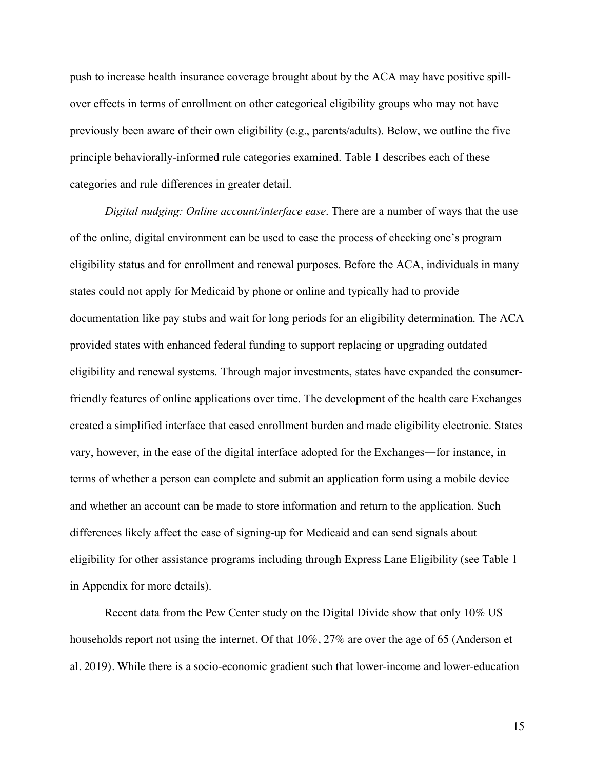push to increase health insurance coverage brought about by the ACA may have positive spillover effects in terms of enrollment on other categorical eligibility groups who may not have previously been aware of their own eligibility (e.g., parents/adults). Below, we outline the five principle behaviorally-informed rule categories examined. Table 1 describes each of these categories and rule differences in greater detail.

*Digital nudging: Online account/interface ease*. There are a number of ways that the use of the online, digital environment can be used to ease the process of checking one's program eligibility status and for enrollment and renewal purposes. Before the ACA, individuals in many states could not apply for Medicaid by phone or online and typically had to provide documentation like pay stubs and wait for long periods for an eligibility determination. The ACA provided states with enhanced federal funding to support replacing or upgrading outdated eligibility and renewal systems. Through major investments, states have expanded the consumerfriendly features of online applications over time. The development of the health care Exchanges created a simplified interface that eased enrollment burden and made eligibility electronic. States vary, however, in the ease of the digital interface adopted for the Exchanges―for instance, in terms of whether a person can complete and submit an application form using a mobile device and whether an account can be made to store information and return to the application. Such differences likely affect the ease of signing-up for Medicaid and can send signals about eligibility for other assistance programs including through Express Lane Eligibility (see Table 1 in Appendix for more details).

Recent data from the Pew Center study on the Digital Divide show that only 10% US households report not using the internet. Of that 10%, 27% are over the age of 65 (Anderson et al. 2019). While there is a socio-economic gradient such that lower-income and lower-education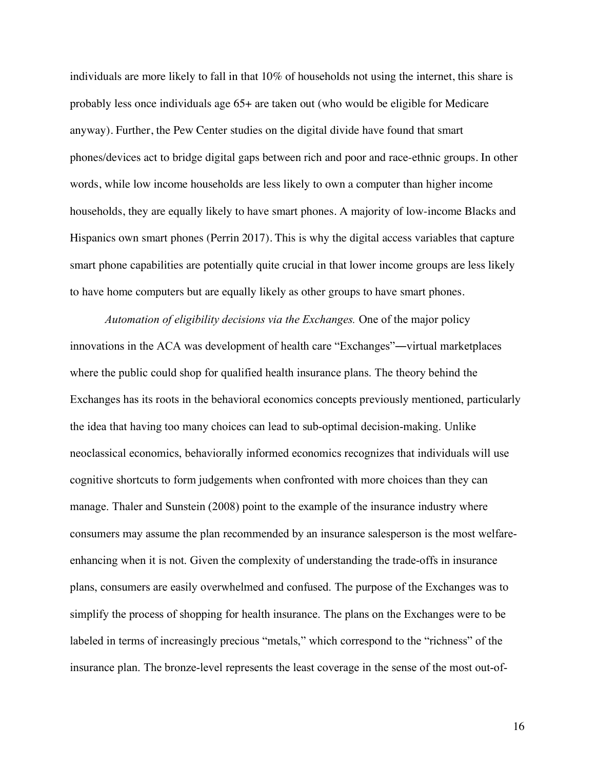individuals are more likely to fall in that 10% of households not using the internet, this share is probably less once individuals age 65+ are taken out (who would be eligible for Medicare anyway). Further, the Pew Center studies on the digital divide have found that smart phones/devices act to bridge digital gaps between rich and poor and race-ethnic groups. In other words, while low income households are less likely to own a computer than higher income households, they are equally likely to have smart phones. A majority of low-income Blacks and Hispanics own smart phones (Perrin 2017). This is why the digital access variables that capture smart phone capabilities are potentially quite crucial in that lower income groups are less likely to have home computers but are equally likely as other groups to have smart phones.

*Automation of eligibility decisions via the Exchanges.* One of the major policy innovations in the ACA was development of health care "Exchanges"―virtual marketplaces where the public could shop for qualified health insurance plans. The theory behind the Exchanges has its roots in the behavioral economics concepts previously mentioned, particularly the idea that having too many choices can lead to sub-optimal decision-making. Unlike neoclassical economics, behaviorally informed economics recognizes that individuals will use cognitive shortcuts to form judgements when confronted with more choices than they can manage. Thaler and Sunstein (2008) point to the example of the insurance industry where consumers may assume the plan recommended by an insurance salesperson is the most welfareenhancing when it is not. Given the complexity of understanding the trade-offs in insurance plans, consumers are easily overwhelmed and confused. The purpose of the Exchanges was to simplify the process of shopping for health insurance. The plans on the Exchanges were to be labeled in terms of increasingly precious "metals," which correspond to the "richness" of the insurance plan. The bronze-level represents the least coverage in the sense of the most out-of-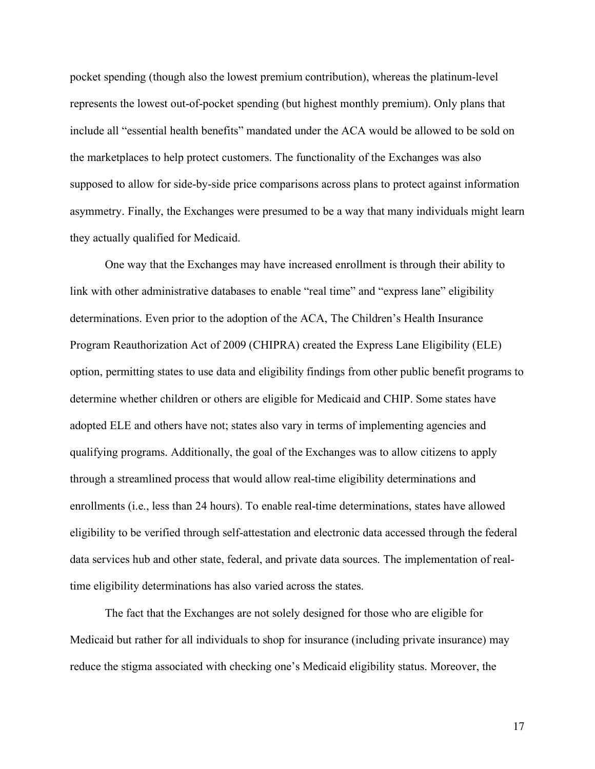pocket spending (though also the lowest premium contribution), whereas the platinum-level represents the lowest out-of-pocket spending (but highest monthly premium). Only plans that include all "essential health benefits" mandated under the ACA would be allowed to be sold on the marketplaces to help protect customers. The functionality of the Exchanges was also supposed to allow for side-by-side price comparisons across plans to protect against information asymmetry. Finally, the Exchanges were presumed to be a way that many individuals might learn they actually qualified for Medicaid.

One way that the Exchanges may have increased enrollment is through their ability to link with other administrative databases to enable "real time" and "express lane" eligibility determinations. Even prior to the adoption of the ACA, The Children's Health Insurance Program Reauthorization Act of 2009 (CHIPRA) created the Express Lane Eligibility (ELE) option, permitting states to use data and eligibility findings from other public benefit programs to determine whether children or others are eligible for Medicaid and CHIP. Some states have adopted ELE and others have not; states also vary in terms of implementing agencies and qualifying programs. Additionally, the goal of the Exchanges was to allow citizens to apply through a streamlined process that would allow real-time eligibility determinations and enrollments (i.e., less than 24 hours). To enable real-time determinations, states have allowed eligibility to be verified through self-attestation and electronic data accessed through the federal data services hub and other state, federal, and private data sources. The implementation of realtime eligibility determinations has also varied across the states.

The fact that the Exchanges are not solely designed for those who are eligible for Medicaid but rather for all individuals to shop for insurance (including private insurance) may reduce the stigma associated with checking one's Medicaid eligibility status. Moreover, the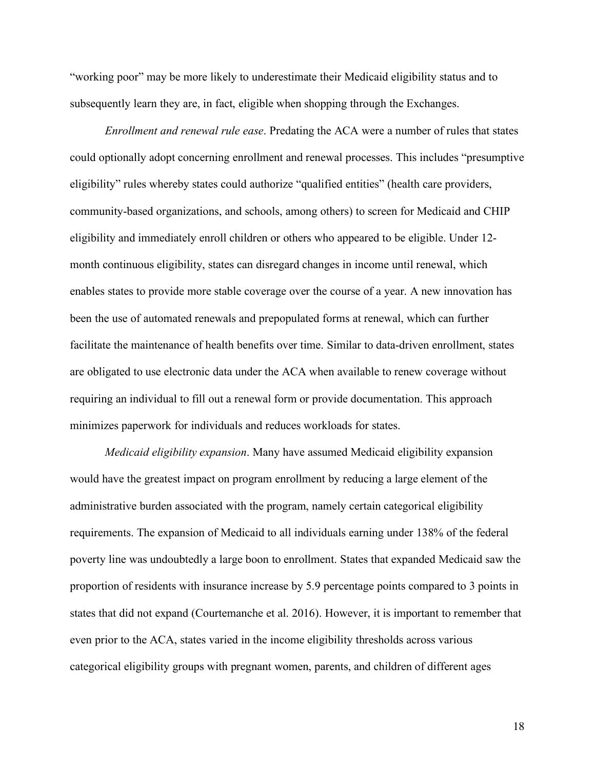"working poor" may be more likely to underestimate their Medicaid eligibility status and to subsequently learn they are, in fact, eligible when shopping through the Exchanges.

*Enrollment and renewal rule ease*. Predating the ACA were a number of rules that states could optionally adopt concerning enrollment and renewal processes. This includes "presumptive eligibility" rules whereby states could authorize "qualified entities" (health care providers, community-based organizations, and schools, among others) to screen for Medicaid and CHIP eligibility and immediately enroll children or others who appeared to be eligible. Under 12 month continuous eligibility, states can disregard changes in income until renewal, which enables states to provide more stable coverage over the course of a year. A new innovation has been the use of automated renewals and prepopulated forms at renewal, which can further facilitate the maintenance of health benefits over time. Similar to data-driven enrollment, states are obligated to use electronic data under the ACA when available to renew coverage without requiring an individual to fill out a renewal form or provide documentation. This approach minimizes paperwork for individuals and reduces workloads for states.

*Medicaid eligibility expansion*. Many have assumed Medicaid eligibility expansion would have the greatest impact on program enrollment by reducing a large element of the administrative burden associated with the program, namely certain categorical eligibility requirements. The expansion of Medicaid to all individuals earning under 138% of the federal poverty line was undoubtedly a large boon to enrollment. States that expanded Medicaid saw the proportion of residents with insurance increase by 5.9 percentage points compared to 3 points in states that did not expand (Courtemanche et al. 2016). However, it is important to remember that even prior to the ACA, states varied in the income eligibility thresholds across various categorical eligibility groups with pregnant women, parents, and children of different ages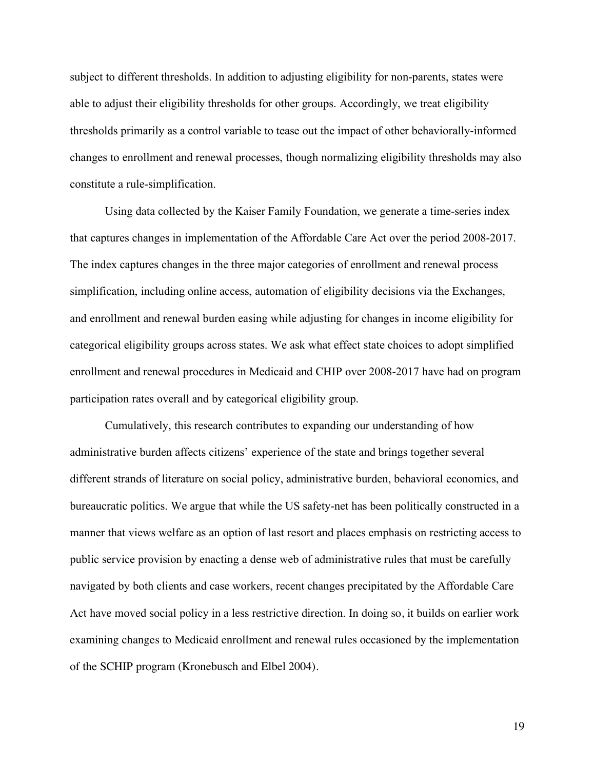subject to different thresholds. In addition to adjusting eligibility for non-parents, states were able to adjust their eligibility thresholds for other groups. Accordingly, we treat eligibility thresholds primarily as a control variable to tease out the impact of other behaviorally-informed changes to enrollment and renewal processes, though normalizing eligibility thresholds may also constitute a rule-simplification.

Using data collected by the Kaiser Family Foundation, we generate a time-series index that captures changes in implementation of the Affordable Care Act over the period 2008-2017. The index captures changes in the three major categories of enrollment and renewal process simplification, including online access, automation of eligibility decisions via the Exchanges, and enrollment and renewal burden easing while adjusting for changes in income eligibility for categorical eligibility groups across states. We ask what effect state choices to adopt simplified enrollment and renewal procedures in Medicaid and CHIP over 2008-2017 have had on program participation rates overall and by categorical eligibility group.

Cumulatively, this research contributes to expanding our understanding of how administrative burden affects citizens' experience of the state and brings together several different strands of literature on social policy, administrative burden, behavioral economics, and bureaucratic politics. We argue that while the US safety-net has been politically constructed in a manner that views welfare as an option of last resort and places emphasis on restricting access to public service provision by enacting a dense web of administrative rules that must be carefully navigated by both clients and case workers, recent changes precipitated by the Affordable Care Act have moved social policy in a less restrictive direction. In doing so, it builds on earlier work examining changes to Medicaid enrollment and renewal rules occasioned by the implementation of the SCHIP program (Kronebusch and Elbel 2004).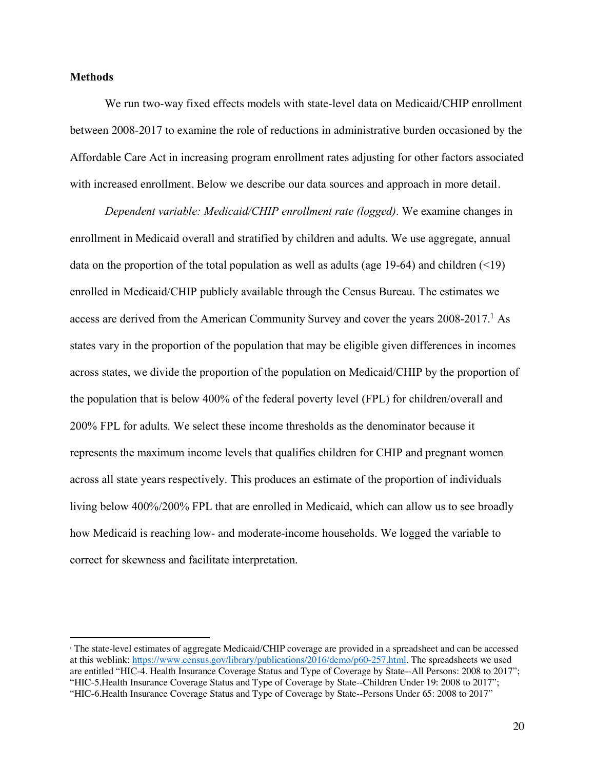#### **Methods**

 $\overline{a}$ 

We run two-way fixed effects models with state-level data on Medicaid/CHIP enrollment between 2008-2017 to examine the role of reductions in administrative burden occasioned by the Affordable Care Act in increasing program enrollment rates adjusting for other factors associated with increased enrollment. Below we describe our data sources and approach in more detail.

*Dependent variable: Medicaid/CHIP enrollment rate (logged)*. We examine changes in enrollment in Medicaid overall and stratified by children and adults. We use aggregate, annual data on the proportion of the total population as well as adults (age 19-64) and children  $($ enrolled in Medicaid/CHIP publicly available through the Census Bureau. The estimates we access are derived from the American Community Survey and cover the years 2008-2017.<sup>1</sup> As states vary in the proportion of the population that may be eligible given differences in incomes across states, we divide the proportion of the population on Medicaid/CHIP by the proportion of the population that is below 400% of the federal poverty level (FPL) for children/overall and 200% FPL for adults. We select these income thresholds as the denominator because it represents the maximum income levels that qualifies children for CHIP and pregnant women across all state years respectively. This produces an estimate of the proportion of individuals living below 400%/200% FPL that are enrolled in Medicaid, which can allow us to see broadly how Medicaid is reaching low- and moderate-income households. We logged the variable to correct for skewness and facilitate interpretation.

<sup>1</sup> The state-level estimates of aggregate Medicaid/CHIP coverage are provided in a spreadsheet and can be accessed at this weblink: https://www.census.gov/library/publications/2016/demo/p60-257.html. The spreadsheets we used are entitled "HIC-4. Health Insurance Coverage Status and Type of Coverage by State--All Persons: 2008 to 2017"; "HIC-5.Health Insurance Coverage Status and Type of Coverage by State--Children Under 19: 2008 to 2017"; "HIC-6.Health Insurance Coverage Status and Type of Coverage by State--Persons Under 65: 2008 to 2017"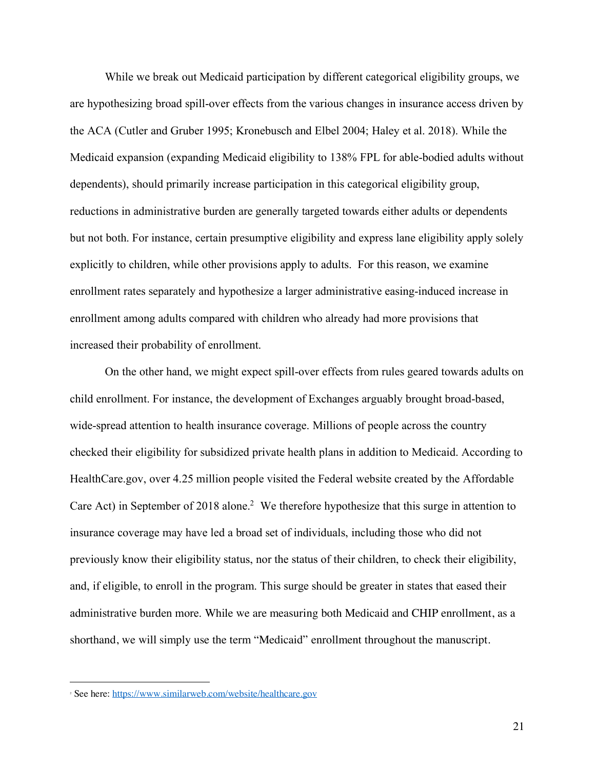While we break out Medicaid participation by different categorical eligibility groups, we are hypothesizing broad spill-over effects from the various changes in insurance access driven by the ACA (Cutler and Gruber 1995; Kronebusch and Elbel 2004; Haley et al. 2018). While the Medicaid expansion (expanding Medicaid eligibility to 138% FPL for able-bodied adults without dependents), should primarily increase participation in this categorical eligibility group, reductions in administrative burden are generally targeted towards either adults or dependents but not both. For instance, certain presumptive eligibility and express lane eligibility apply solely explicitly to children, while other provisions apply to adults. For this reason, we examine enrollment rates separately and hypothesize a larger administrative easing-induced increase in enrollment among adults compared with children who already had more provisions that increased their probability of enrollment.

On the other hand, we might expect spill-over effects from rules geared towards adults on child enrollment. For instance, the development of Exchanges arguably brought broad-based, wide-spread attention to health insurance coverage. Millions of people across the country checked their eligibility for subsidized private health plans in addition to Medicaid. According to HealthCare.gov, over 4.25 million people visited the Federal website created by the Affordable Care Act) in September of 2018 alone. 2 We therefore hypothesize that this surge in attention to insurance coverage may have led a broad set of individuals, including those who did not previously know their eligibility status, nor the status of their children, to check their eligibility, and, if eligible, to enroll in the program. This surge should be greater in states that eased their administrative burden more. While we are measuring both Medicaid and CHIP enrollment, as a shorthand, we will simply use the term "Medicaid" enrollment throughout the manuscript.

 $\overline{a}$ 

<sup>&</sup>lt;sup>2</sup> See here: https://www.similarweb.com/website/healthcare.gov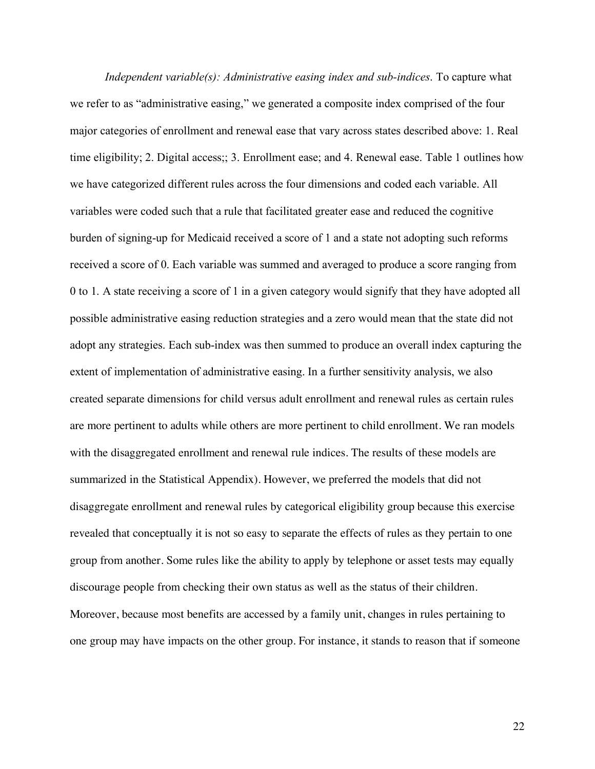*Independent variable(s): Administrative easing index and sub-indices*. To capture what we refer to as "administrative easing," we generated a composite index comprised of the four major categories of enrollment and renewal ease that vary across states described above: 1. Real time eligibility; 2. Digital access;; 3. Enrollment ease; and 4. Renewal ease. Table 1 outlines how we have categorized different rules across the four dimensions and coded each variable. All variables were coded such that a rule that facilitated greater ease and reduced the cognitive burden of signing-up for Medicaid received a score of 1 and a state not adopting such reforms received a score of 0. Each variable was summed and averaged to produce a score ranging from 0 to 1. A state receiving a score of 1 in a given category would signify that they have adopted all possible administrative easing reduction strategies and a zero would mean that the state did not adopt any strategies. Each sub-index was then summed to produce an overall index capturing the extent of implementation of administrative easing. In a further sensitivity analysis, we also created separate dimensions for child versus adult enrollment and renewal rules as certain rules are more pertinent to adults while others are more pertinent to child enrollment. We ran models with the disaggregated enrollment and renewal rule indices. The results of these models are summarized in the Statistical Appendix). However, we preferred the models that did not disaggregate enrollment and renewal rules by categorical eligibility group because this exercise revealed that conceptually it is not so easy to separate the effects of rules as they pertain to one group from another. Some rules like the ability to apply by telephone or asset tests may equally discourage people from checking their own status as well as the status of their children. Moreover, because most benefits are accessed by a family unit, changes in rules pertaining to one group may have impacts on the other group. For instance, it stands to reason that if someone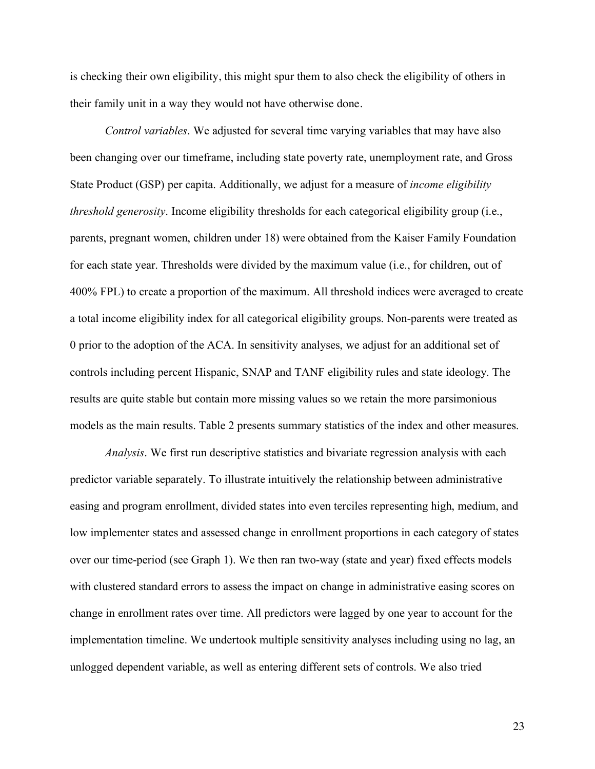is checking their own eligibility, this might spur them to also check the eligibility of others in their family unit in a way they would not have otherwise done.

*Control variables*. We adjusted for several time varying variables that may have also been changing over our timeframe, including state poverty rate, unemployment rate, and Gross State Product (GSP) per capita. Additionally, we adjust for a measure of *income eligibility threshold generosity*. Income eligibility thresholds for each categorical eligibility group (i.e., parents, pregnant women, children under 18) were obtained from the Kaiser Family Foundation for each state year. Thresholds were divided by the maximum value (i.e., for children, out of 400% FPL) to create a proportion of the maximum. All threshold indices were averaged to create a total income eligibility index for all categorical eligibility groups. Non-parents were treated as 0 prior to the adoption of the ACA. In sensitivity analyses, we adjust for an additional set of controls including percent Hispanic, SNAP and TANF eligibility rules and state ideology. The results are quite stable but contain more missing values so we retain the more parsimonious models as the main results. Table 2 presents summary statistics of the index and other measures.

*Analysis*. We first run descriptive statistics and bivariate regression analysis with each predictor variable separately. To illustrate intuitively the relationship between administrative easing and program enrollment, divided states into even terciles representing high, medium, and low implementer states and assessed change in enrollment proportions in each category of states over our time-period (see Graph 1). We then ran two-way (state and year) fixed effects models with clustered standard errors to assess the impact on change in administrative easing scores on change in enrollment rates over time. All predictors were lagged by one year to account for the implementation timeline. We undertook multiple sensitivity analyses including using no lag, an unlogged dependent variable, as well as entering different sets of controls. We also tried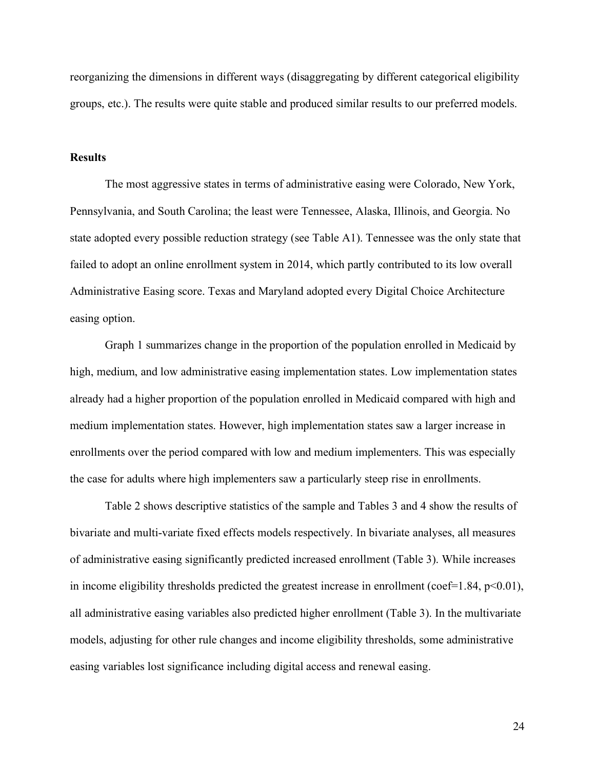reorganizing the dimensions in different ways (disaggregating by different categorical eligibility groups, etc.). The results were quite stable and produced similar results to our preferred models.

#### **Results**

The most aggressive states in terms of administrative easing were Colorado, New York, Pennsylvania, and South Carolina; the least were Tennessee, Alaska, Illinois, and Georgia. No state adopted every possible reduction strategy (see Table A1). Tennessee was the only state that failed to adopt an online enrollment system in 2014, which partly contributed to its low overall Administrative Easing score. Texas and Maryland adopted every Digital Choice Architecture easing option.

Graph 1 summarizes change in the proportion of the population enrolled in Medicaid by high, medium, and low administrative easing implementation states. Low implementation states already had a higher proportion of the population enrolled in Medicaid compared with high and medium implementation states. However, high implementation states saw a larger increase in enrollments over the period compared with low and medium implementers. This was especially the case for adults where high implementers saw a particularly steep rise in enrollments.

Table 2 shows descriptive statistics of the sample and Tables 3 and 4 show the results of bivariate and multi-variate fixed effects models respectively. In bivariate analyses, all measures of administrative easing significantly predicted increased enrollment (Table 3). While increases in income eligibility thresholds predicted the greatest increase in enrollment (coef=1.84,  $p<0.01$ ), all administrative easing variables also predicted higher enrollment (Table 3). In the multivariate models, adjusting for other rule changes and income eligibility thresholds, some administrative easing variables lost significance including digital access and renewal easing.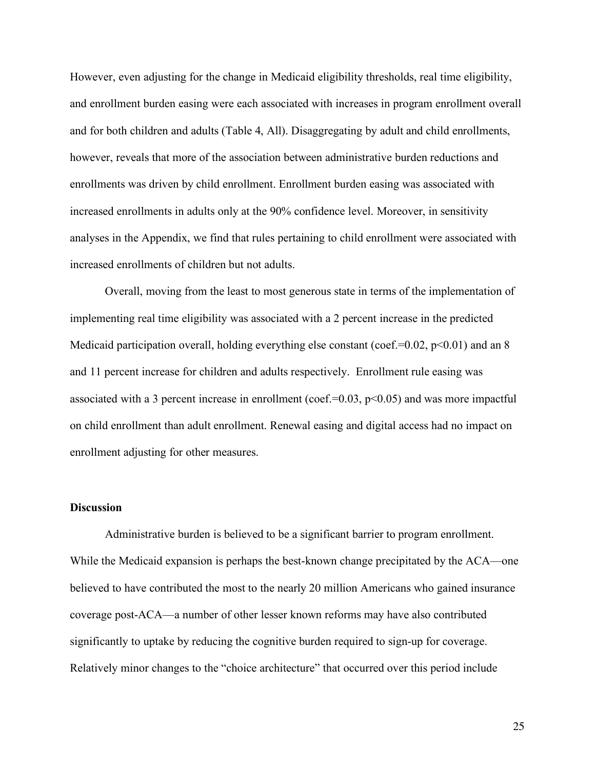However, even adjusting for the change in Medicaid eligibility thresholds, real time eligibility, and enrollment burden easing were each associated with increases in program enrollment overall and for both children and adults (Table 4, All). Disaggregating by adult and child enrollments, however, reveals that more of the association between administrative burden reductions and enrollments was driven by child enrollment. Enrollment burden easing was associated with increased enrollments in adults only at the 90% confidence level. Moreover, in sensitivity analyses in the Appendix, we find that rules pertaining to child enrollment were associated with increased enrollments of children but not adults.

Overall, moving from the least to most generous state in terms of the implementation of implementing real time eligibility was associated with a 2 percent increase in the predicted Medicaid participation overall, holding everything else constant (coef.=0.02,  $p<0.01$ ) and an 8 and 11 percent increase for children and adults respectively. Enrollment rule easing was associated with a 3 percent increase in enrollment (coef.= $0.03$ ,  $p<0.05$ ) and was more impactful on child enrollment than adult enrollment. Renewal easing and digital access had no impact on enrollment adjusting for other measures.

#### **Discussion**

Administrative burden is believed to be a significant barrier to program enrollment. While the Medicaid expansion is perhaps the best-known change precipitated by the ACA—one believed to have contributed the most to the nearly 20 million Americans who gained insurance coverage post-ACA—a number of other lesser known reforms may have also contributed significantly to uptake by reducing the cognitive burden required to sign-up for coverage. Relatively minor changes to the "choice architecture" that occurred over this period include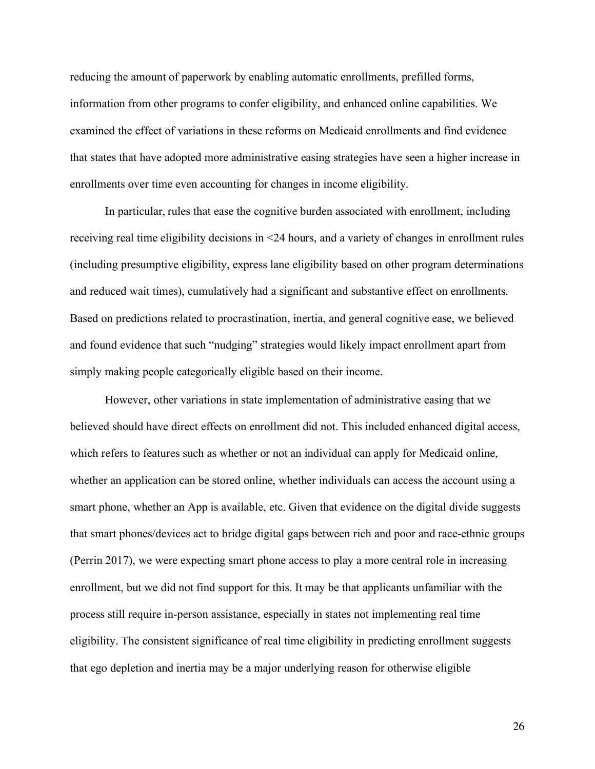reducing the amount of paperwork by enabling automatic enrollments, prefilled forms, information from other programs to confer eligibility, and enhanced online capabilities. We examined the effect of variations in these reforms on Medicaid enrollments and find evidence that states that have adopted more administrative easing strategies have seen a higher increase in enrollments over time even accounting for changes in income eligibility.

In particular, rules that ease the cognitive burden associated with enrollment, including receiving real time eligibility decisions in <24 hours, and a variety of changes in enrollment rules (including presumptive eligibility, express lane eligibility based on other program determinations and reduced wait times), cumulatively had a significant and substantive effect on enrollments. Based on predictions related to procrastination, inertia, and general cognitive ease, we believed and found evidence that such "nudging" strategies would likely impact enrollment apart from simply making people categorically eligible based on their income.

However, other variations in state implementation of administrative easing that we believed should have direct effects on enrollment did not. This included enhanced digital access, which refers to features such as whether or not an individual can apply for Medicaid online, whether an application can be stored online, whether individuals can access the account using a smart phone, whether an App is available, etc. Given that evidence on the digital divide suggests that smart phones/devices act to bridge digital gaps between rich and poor and race-ethnic groups (Perrin 2017), we were expecting smart phone access to play a more central role in increasing enrollment, but we did not find support for this. It may be that applicants unfamiliar with the process still require in-person assistance, especially in states not implementing real time eligibility. The consistent significance of real time eligibility in predicting enrollment suggests that ego depletion and inertia may be a major underlying reason for otherwise eligible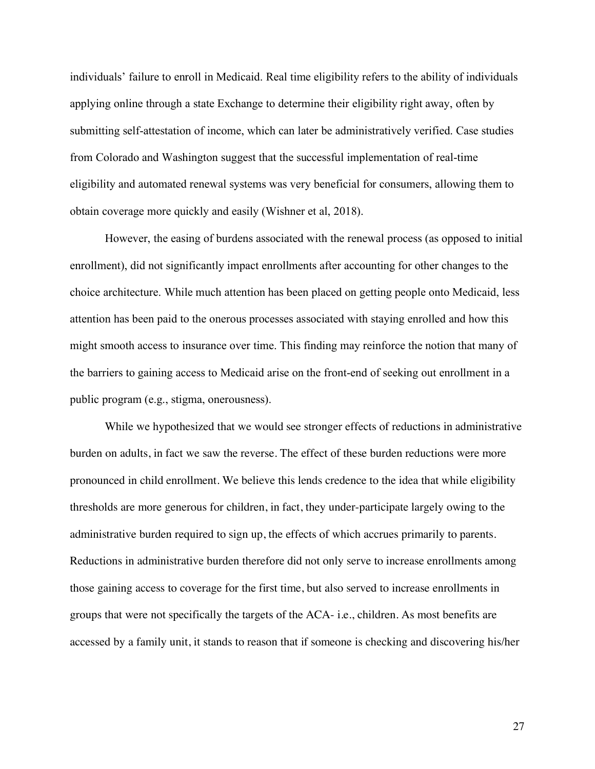individuals' failure to enroll in Medicaid. Real time eligibility refers to the ability of individuals applying online through a state Exchange to determine their eligibility right away, often by submitting self-attestation of income, which can later be administratively verified. Case studies from Colorado and Washington suggest that the successful implementation of real-time eligibility and automated renewal systems was very beneficial for consumers, allowing them to obtain coverage more quickly and easily (Wishner et al, 2018).

However, the easing of burdens associated with the renewal process (as opposed to initial enrollment), did not significantly impact enrollments after accounting for other changes to the choice architecture. While much attention has been placed on getting people onto Medicaid, less attention has been paid to the onerous processes associated with staying enrolled and how this might smooth access to insurance over time. This finding may reinforce the notion that many of the barriers to gaining access to Medicaid arise on the front-end of seeking out enrollment in a public program (e.g., stigma, onerousness).

While we hypothesized that we would see stronger effects of reductions in administrative burden on adults, in fact we saw the reverse. The effect of these burden reductions were more pronounced in child enrollment. We believe this lends credence to the idea that while eligibility thresholds are more generous for children, in fact, they under-participate largely owing to the administrative burden required to sign up, the effects of which accrues primarily to parents. Reductions in administrative burden therefore did not only serve to increase enrollments among those gaining access to coverage for the first time, but also served to increase enrollments in groups that were not specifically the targets of the ACA- i.e., children. As most benefits are accessed by a family unit, it stands to reason that if someone is checking and discovering his/her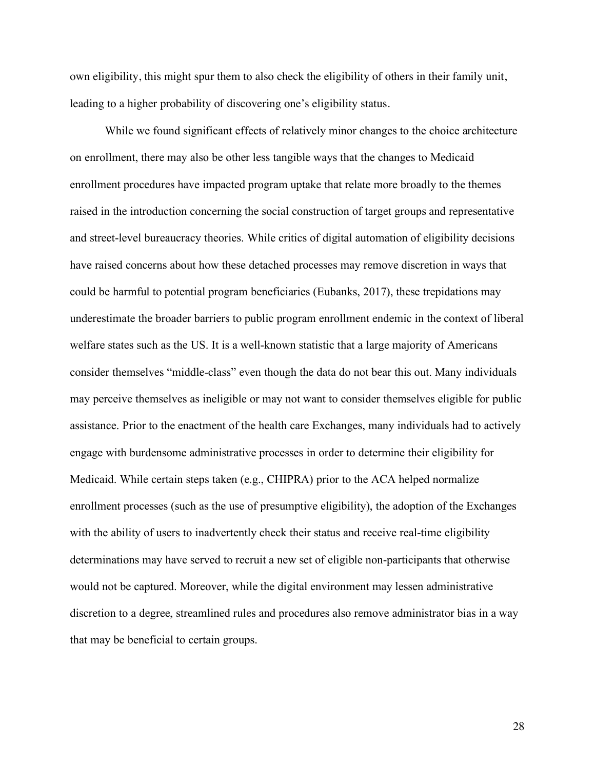own eligibility, this might spur them to also check the eligibility of others in their family unit, leading to a higher probability of discovering one's eligibility status.

While we found significant effects of relatively minor changes to the choice architecture on enrollment, there may also be other less tangible ways that the changes to Medicaid enrollment procedures have impacted program uptake that relate more broadly to the themes raised in the introduction concerning the social construction of target groups and representative and street-level bureaucracy theories. While critics of digital automation of eligibility decisions have raised concerns about how these detached processes may remove discretion in ways that could be harmful to potential program beneficiaries (Eubanks, 2017), these trepidations may underestimate the broader barriers to public program enrollment endemic in the context of liberal welfare states such as the US. It is a well-known statistic that a large majority of Americans consider themselves "middle-class" even though the data do not bear this out. Many individuals may perceive themselves as ineligible or may not want to consider themselves eligible for public assistance. Prior to the enactment of the health care Exchanges, many individuals had to actively engage with burdensome administrative processes in order to determine their eligibility for Medicaid. While certain steps taken (e.g., CHIPRA) prior to the ACA helped normalize enrollment processes (such as the use of presumptive eligibility), the adoption of the Exchanges with the ability of users to inadvertently check their status and receive real-time eligibility determinations may have served to recruit a new set of eligible non-participants that otherwise would not be captured. Moreover, while the digital environment may lessen administrative discretion to a degree, streamlined rules and procedures also remove administrator bias in a way that may be beneficial to certain groups.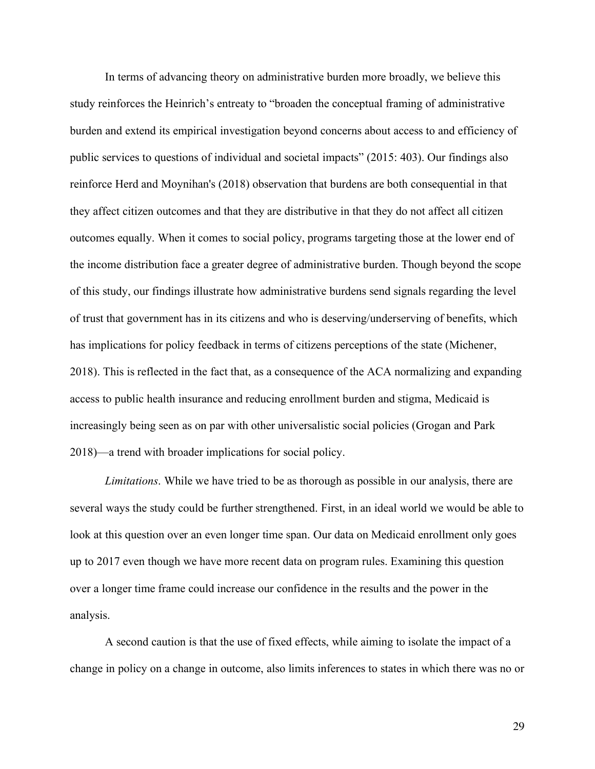In terms of advancing theory on administrative burden more broadly, we believe this study reinforces the Heinrich's entreaty to "broaden the conceptual framing of administrative burden and extend its empirical investigation beyond concerns about access to and efficiency of public services to questions of individual and societal impacts" (2015: 403). Our findings also reinforce Herd and Moynihan's (2018) observation that burdens are both consequential in that they affect citizen outcomes and that they are distributive in that they do not affect all citizen outcomes equally. When it comes to social policy, programs targeting those at the lower end of the income distribution face a greater degree of administrative burden. Though beyond the scope of this study, our findings illustrate how administrative burdens send signals regarding the level of trust that government has in its citizens and who is deserving/underserving of benefits, which has implications for policy feedback in terms of citizens perceptions of the state (Michener, 2018). This is reflected in the fact that, as a consequence of the ACA normalizing and expanding access to public health insurance and reducing enrollment burden and stigma, Medicaid is increasingly being seen as on par with other universalistic social policies (Grogan and Park 2018)—a trend with broader implications for social policy.

*Limitations*. While we have tried to be as thorough as possible in our analysis, there are several ways the study could be further strengthened. First, in an ideal world we would be able to look at this question over an even longer time span. Our data on Medicaid enrollment only goes up to 2017 even though we have more recent data on program rules. Examining this question over a longer time frame could increase our confidence in the results and the power in the analysis.

A second caution is that the use of fixed effects, while aiming to isolate the impact of a change in policy on a change in outcome, also limits inferences to states in which there was no or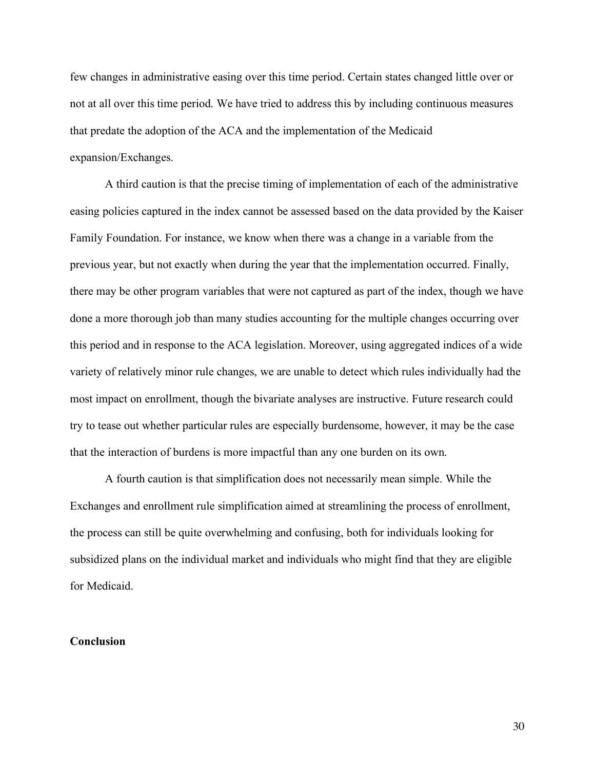few changes in administrative easing over this time period. Certain states changed little over or not at all over this time period. We have tried to address this by including continuous measures that predate the adoption of the ACA and the implementation of the Medicaid expansion/Exchanges.

A third caution is that the precise timing of implementation of each of the administrative easing policies captured in the index cannot be assessed based on the data provided by the Kaiser Family Foundation. For instance, we know when there was a change in a variable from the previous year, but not exactly when during the year that the implementation occurred. Finally, there may be other program variables that were not captured as part of the index, though we have done a more thorough job than many studies accounting for the multiple changes occurring over this period and in response to the ACA legislation. Moreover, using aggregated indices of a wide variety of relatively minor rule changes, we are unable to detect which rules individually had the most impact on enrollment, though the bivariate analyses are instructive. Future research could try to tease out whether particular rules are especially burdensome, however, it may be the case that the interaction of burdens is more impactful than any one burden on its own.

A fourth caution is that simplification does not necessarily mean simple. While the Exchanges and enrollment rule simplification aimed at streamlining the process of enrollment, the process can still be quite overwhelming and confusing, both for individuals looking for subsidized plans on the individual market and individuals who might find that they are eligible for Medicaid.

#### **Conclusion**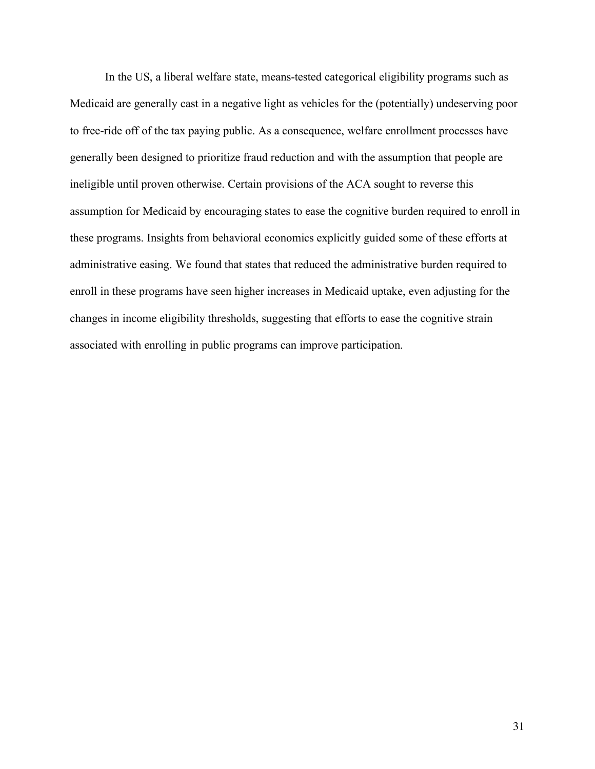In the US, a liberal welfare state, means-tested categorical eligibility programs such as Medicaid are generally cast in a negative light as vehicles for the (potentially) undeserving poor to free-ride off of the tax paying public. As a consequence, welfare enrollment processes have generally been designed to prioritize fraud reduction and with the assumption that people are ineligible until proven otherwise. Certain provisions of the ACA sought to reverse this assumption for Medicaid by encouraging states to ease the cognitive burden required to enroll in these programs. Insights from behavioral economics explicitly guided some of these efforts at administrative easing. We found that states that reduced the administrative burden required to enroll in these programs have seen higher increases in Medicaid uptake, even adjusting for the changes in income eligibility thresholds, suggesting that efforts to ease the cognitive strain associated with enrolling in public programs can improve participation.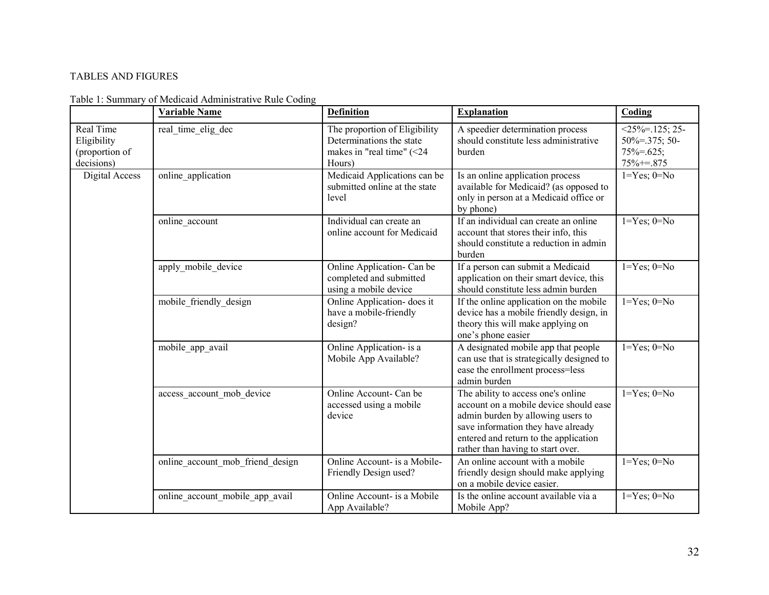# TABLES AND FIGURES

|                                                          | <b>Variable Name</b>             | <b>Definition</b>                                                                                | <b>Explanation</b>                                                                                                                                                                                                                    | Coding                                                                      |
|----------------------------------------------------------|----------------------------------|--------------------------------------------------------------------------------------------------|---------------------------------------------------------------------------------------------------------------------------------------------------------------------------------------------------------------------------------------|-----------------------------------------------------------------------------|
| Real Time<br>Eligibility<br>(proportion of<br>decisions) | real time elig dec               | The proportion of Eligibility<br>Determinations the state<br>makes in "real time" (<24<br>Hours) | A speedier determination process<br>should constitute less administrative<br>burden                                                                                                                                                   | $<$ 25%=.125; 25-<br>$50\% = 0.375$ ; 50-<br>$75\% = .625;$<br>$75\% = 875$ |
| Digital Access                                           | online application               | Medicaid Applications can be<br>submitted online at the state<br>level                           | Is an online application process<br>available for Medicaid? (as opposed to<br>only in person at a Medicaid office or<br>by phone)                                                                                                     | $1 = Yes$ ; $0 = No$                                                        |
|                                                          | online account                   | Individual can create an<br>online account for Medicaid                                          | If an individual can create an online<br>account that stores their info, this<br>should constitute a reduction in admin<br>burden                                                                                                     | $1 = Yes$ ; $0 = No$                                                        |
|                                                          | apply mobile device              | Online Application- Can be<br>completed and submitted<br>using a mobile device                   | If a person can submit a Medicaid<br>application on their smart device, this<br>should constitute less admin burden                                                                                                                   | $1 = Yes$ ; $0 = No$                                                        |
|                                                          | mobile friendly design           | Online Application- does it<br>have a mobile-friendly<br>design?                                 | If the online application on the mobile<br>device has a mobile friendly design, in<br>theory this will make applying on<br>one's phone easier                                                                                         | $1 = Yes$ ; $0 = No$                                                        |
|                                                          | mobile app avail                 | Online Application- is a<br>Mobile App Available?                                                | A designated mobile app that people<br>can use that is strategically designed to<br>ease the enrollment process=less<br>admin burden                                                                                                  | $1 = Yes$ ; $0 = No$                                                        |
|                                                          | access account mob device        | Online Account- Can be<br>accessed using a mobile<br>device                                      | The ability to access one's online<br>account on a mobile device should ease<br>admin burden by allowing users to<br>save information they have already<br>entered and return to the application<br>rather than having to start over. | $1 = Yes$ ; $0 = No$                                                        |
|                                                          | online account mob friend design | Online Account- is a Mobile-<br>Friendly Design used?                                            | An online account with a mobile<br>friendly design should make applying<br>on a mobile device easier.                                                                                                                                 | $1 = Yes$ ; $0 = No$                                                        |
|                                                          | online account mobile app avail  | Online Account- is a Mobile<br>App Available?                                                    | Is the online account available via a<br>Mobile App?                                                                                                                                                                                  | $1 = Yes$ ; $0 = No$                                                        |

Table 1: Summary of Medicaid Administrative Rule Coding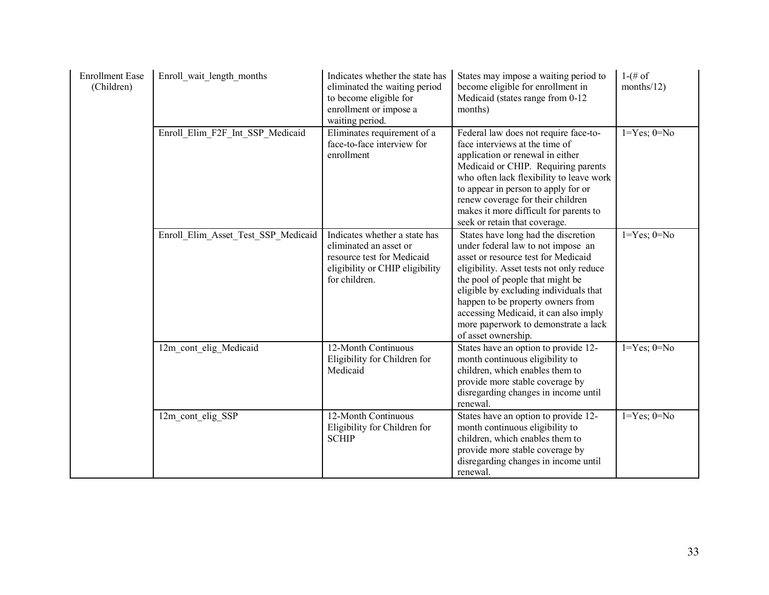| <b>Enrollment Ease</b><br>(Children) | Enroll wait length months           | Indicates whether the state has<br>eliminated the waiting period<br>to become eligible for<br>enrollment or impose a<br>waiting period.   | States may impose a waiting period to<br>become eligible for enrollment in<br>Medicaid (states range from 0-12<br>months)                                                                                                                                                                                                                                                               | $1-(# of)$<br>months/12) |
|--------------------------------------|-------------------------------------|-------------------------------------------------------------------------------------------------------------------------------------------|-----------------------------------------------------------------------------------------------------------------------------------------------------------------------------------------------------------------------------------------------------------------------------------------------------------------------------------------------------------------------------------------|--------------------------|
|                                      | Enroll Elim F2F Int SSP Medicaid    | Eliminates requirement of a<br>face-to-face interview for<br>enrollment                                                                   | Federal law does not require face-to-<br>face interviews at the time of<br>application or renewal in either<br>Medicaid or CHIP. Requiring parents<br>who often lack flexibility to leave work<br>to appear in person to apply for or<br>renew coverage for their children<br>makes it more difficult for parents to<br>seek or retain that coverage.                                   | $1 = Yes$ ; $0 = No$     |
|                                      | Enroll Elim Asset Test SSP Medicaid | Indicates whether a state has<br>eliminated an asset or<br>resource test for Medicaid<br>eligibility or CHIP eligibility<br>for children. | States have long had the discretion<br>under federal law to not impose an<br>asset or resource test for Medicaid<br>eligibility. Asset tests not only reduce<br>the pool of people that might be<br>eligible by excluding individuals that<br>happen to be property owners from<br>accessing Medicaid, it can also imply<br>more paperwork to demonstrate a lack<br>of asset ownership. | $1 = Yes$ ; $0 = No$     |
|                                      | 12m cont elig Medicaid              | 12-Month Continuous<br>Eligibility for Children for<br>Medicaid                                                                           | States have an option to provide 12-<br>month continuous eligibility to<br>children, which enables them to<br>provide more stable coverage by<br>disregarding changes in income until<br>renewal.                                                                                                                                                                                       | $1 = Yes$ ; $0 = No$     |
|                                      | 12m cont elig SSP                   | 12-Month Continuous<br>Eligibility for Children for<br><b>SCHIP</b>                                                                       | States have an option to provide 12-<br>month continuous eligibility to<br>children, which enables them to<br>provide more stable coverage by<br>disregarding changes in income until<br>renewal.                                                                                                                                                                                       | $1 = Yes$ ; $0 = No$     |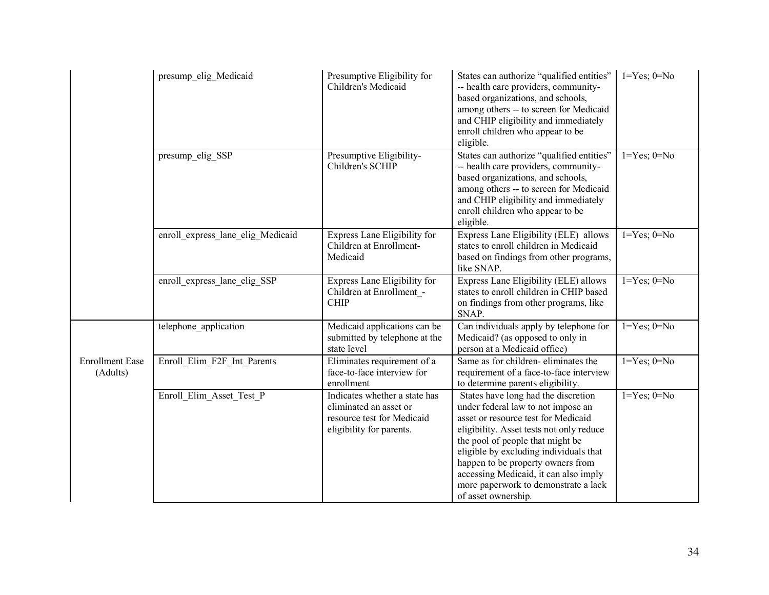|                                    | presump_elig_Medicaid             | Presumptive Eligibility for<br>Children's Medicaid                                                                | States can authorize "qualified entities"<br>-- health care providers, community-<br>based organizations, and schools,<br>among others -- to screen for Medicaid<br>and CHIP eligibility and immediately<br>enroll children who appear to be<br>eligible.                                                                                                                               | $1 = Yes$ ; $0 = No$ |
|------------------------------------|-----------------------------------|-------------------------------------------------------------------------------------------------------------------|-----------------------------------------------------------------------------------------------------------------------------------------------------------------------------------------------------------------------------------------------------------------------------------------------------------------------------------------------------------------------------------------|----------------------|
|                                    | presump_elig_SSP                  | Presumptive Eligibility-<br>Children's SCHIP                                                                      | States can authorize "qualified entities"<br>-- health care providers, community-<br>based organizations, and schools,<br>among others -- to screen for Medicaid<br>and CHIP eligibility and immediately<br>enroll children who appear to be<br>eligible.                                                                                                                               | $1 = Yes$ ; $0 = No$ |
|                                    | enroll express lane elig Medicaid | Express Lane Eligibility for<br>Children at Enrollment-<br>Medicaid                                               | Express Lane Eligibility (ELE) allows<br>states to enroll children in Medicaid<br>based on findings from other programs,<br>like SNAP.                                                                                                                                                                                                                                                  | $1 = Yes$ ; $0 = No$ |
|                                    | enroll express lane elig SSP      | Express Lane Eligibility for<br>Children at Enrollment -<br><b>CHIP</b>                                           | Express Lane Eligibility (ELE) allows<br>states to enroll children in CHIP based<br>on findings from other programs, like<br>SNAP.                                                                                                                                                                                                                                                      | $1 = Yes$ ; $0 = No$ |
|                                    | telephone application             | Medicaid applications can be<br>submitted by telephone at the<br>state level                                      | Can individuals apply by telephone for<br>Medicaid? (as opposed to only in<br>person at a Medicaid office)                                                                                                                                                                                                                                                                              | $1 = Yes$ ; $0 = No$ |
| <b>Enrollment Ease</b><br>(Adults) | Enroll Elim F2F Int Parents       | Eliminates requirement of a<br>face-to-face interview for<br>enrollment                                           | Same as for children-eliminates the<br>requirement of a face-to-face interview<br>to determine parents eligibility.                                                                                                                                                                                                                                                                     | $1 = Yes$ ; $0 = No$ |
|                                    | Enroll_Elim_Asset_Test_P          | Indicates whether a state has<br>eliminated an asset or<br>resource test for Medicaid<br>eligibility for parents. | States have long had the discretion<br>under federal law to not impose an<br>asset or resource test for Medicaid<br>eligibility. Asset tests not only reduce<br>the pool of people that might be<br>eligible by excluding individuals that<br>happen to be property owners from<br>accessing Medicaid, it can also imply<br>more paperwork to demonstrate a lack<br>of asset ownership. | $1 = Yes$ ; $0 = No$ |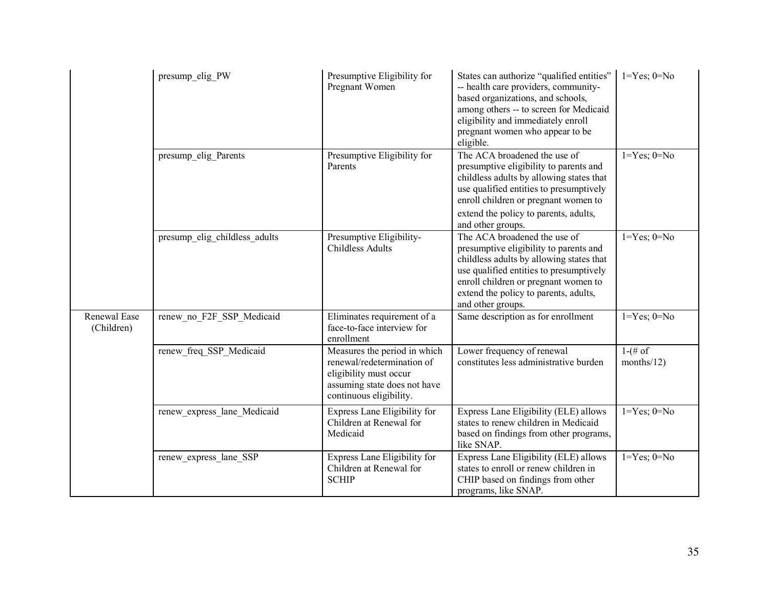|                            | presump elig PW               | Presumptive Eligibility for<br>Pregnant Women                                                                                                   | States can authorize "qualified entities"<br>-- health care providers, community-<br>based organizations, and schools,<br>among others -- to screen for Medicaid<br>eligibility and immediately enroll<br>pregnant women who appear to be<br>eligible.              | $1 = Yes$ ; $0 = No$     |
|----------------------------|-------------------------------|-------------------------------------------------------------------------------------------------------------------------------------------------|---------------------------------------------------------------------------------------------------------------------------------------------------------------------------------------------------------------------------------------------------------------------|--------------------------|
|                            | presump elig Parents          | Presumptive Eligibility for<br>Parents                                                                                                          | The ACA broadened the use of<br>presumptive eligibility to parents and<br>childless adults by allowing states that<br>use qualified entities to presumptively<br>enroll children or pregnant women to<br>extend the policy to parents, adults,<br>and other groups. | $1 = Yes$ ; $0 = No$     |
|                            | presump elig childless adults | Presumptive Eligibility-<br><b>Childless Adults</b>                                                                                             | The ACA broadened the use of<br>presumptive eligibility to parents and<br>childless adults by allowing states that<br>use qualified entities to presumptively<br>enroll children or pregnant women to<br>extend the policy to parents, adults,<br>and other groups. | $1 = Yes$ ; $0 = No$     |
| Renewal Ease<br>(Children) | renew no F2F SSP Medicaid     | Eliminates requirement of a<br>face-to-face interview for<br>enrollment                                                                         | Same description as for enrollment                                                                                                                                                                                                                                  | $1 = Yes$ ; $0 = No$     |
|                            | renew freq SSP Medicaid       | Measures the period in which<br>renewal/redetermination of<br>eligibility must occur<br>assuming state does not have<br>continuous eligibility. | Lower frequency of renewal<br>constitutes less administrative burden                                                                                                                                                                                                | $1-(# of)$<br>months/12) |
|                            | renew express lane Medicaid   | Express Lane Eligibility for<br>Children at Renewal for<br>Medicaid                                                                             | Express Lane Eligibility (ELE) allows<br>states to renew children in Medicaid<br>based on findings from other programs,<br>like SNAP.                                                                                                                               | $1 = Yes$ ; $0 = No$     |
|                            | renew_express_lane_SSP        | Express Lane Eligibility for<br>Children at Renewal for<br><b>SCHIP</b>                                                                         | Express Lane Eligibility (ELE) allows<br>states to enroll or renew children in<br>CHIP based on findings from other<br>programs, like SNAP.                                                                                                                         | $1 = Yes$ ; $0 = No$     |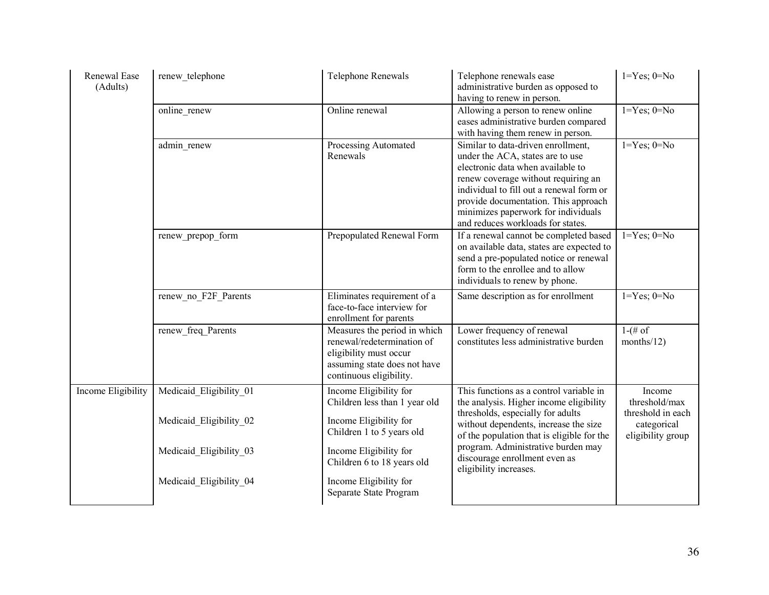| Renewal Ease<br>(Adults) | renew telephone         | Telephone Renewals                                                                                                                              | Telephone renewals ease<br>administrative burden as opposed to<br>having to renew in person.                                                                                                                                                                                                                       | $1 = Yes$ ; $0 = No$                                  |
|--------------------------|-------------------------|-------------------------------------------------------------------------------------------------------------------------------------------------|--------------------------------------------------------------------------------------------------------------------------------------------------------------------------------------------------------------------------------------------------------------------------------------------------------------------|-------------------------------------------------------|
|                          | online renew            | Online renewal                                                                                                                                  | Allowing a person to renew online<br>eases administrative burden compared<br>with having them renew in person.                                                                                                                                                                                                     | $1 = Yes$ ; $0 = No$                                  |
|                          | admin renew             | Processing Automated<br>Renewals                                                                                                                | Similar to data-driven enrollment,<br>under the ACA, states are to use<br>electronic data when available to<br>renew coverage without requiring an<br>individual to fill out a renewal form or<br>provide documentation. This approach<br>minimizes paperwork for individuals<br>and reduces workloads for states. | $1 = Yes$ ; $0 = No$                                  |
|                          | renew_prepop_form       | Prepopulated Renewal Form                                                                                                                       | If a renewal cannot be completed based<br>on available data, states are expected to<br>send a pre-populated notice or renewal<br>form to the enrollee and to allow<br>individuals to renew by phone.                                                                                                               | $1 = Yes$ ; $0 = No$                                  |
|                          | renew no F2F Parents    | Eliminates requirement of a<br>face-to-face interview for<br>enrollment for parents                                                             | Same description as for enrollment                                                                                                                                                                                                                                                                                 | $1 = Yes$ ; $0 = No$                                  |
|                          | renew freq Parents      | Measures the period in which<br>renewal/redetermination of<br>eligibility must occur<br>assuming state does not have<br>continuous eligibility. | Lower frequency of renewal<br>constitutes less administrative burden                                                                                                                                                                                                                                               | $1-(\# \text{ of }$<br>months/12)                     |
| Income Eligibility       | Medicaid Eligibility 01 | Income Eligibility for<br>Children less than 1 year old                                                                                         | This functions as a control variable in<br>the analysis. Higher income eligibility                                                                                                                                                                                                                                 | Income<br>threshold/max                               |
|                          | Medicaid Eligibility 02 | Income Eligibility for<br>Children 1 to 5 years old                                                                                             | thresholds, especially for adults<br>without dependents, increase the size<br>of the population that is eligible for the                                                                                                                                                                                           | threshold in each<br>categorical<br>eligibility group |
|                          | Medicaid Eligibility 03 | Income Eligibility for<br>Children 6 to 18 years old                                                                                            | program. Administrative burden may<br>discourage enrollment even as<br>eligibility increases.                                                                                                                                                                                                                      |                                                       |
|                          | Medicaid Eligibility 04 | Income Eligibility for<br>Separate State Program                                                                                                |                                                                                                                                                                                                                                                                                                                    |                                                       |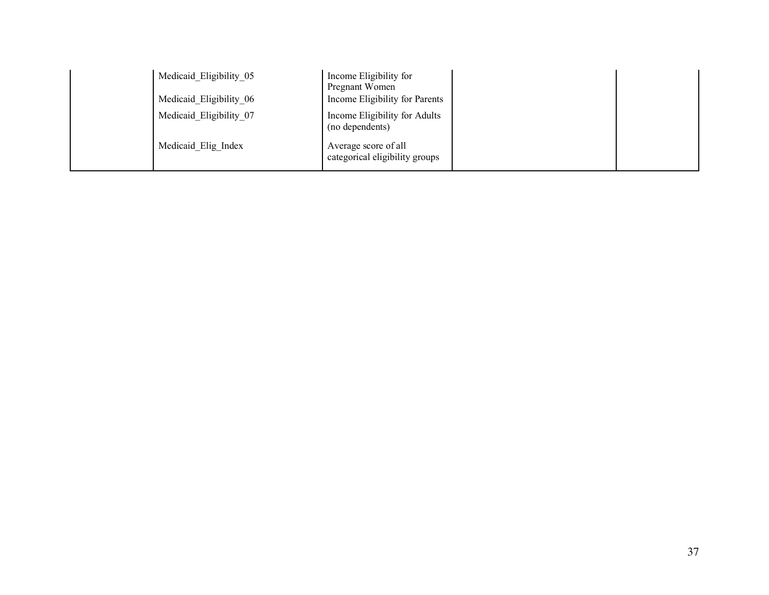| Medicaid Eligibility 05<br>Medicaid Eligibility 06 | Income Eligibility for<br>Pregnant Women<br>Income Eligibility for Parents |  |
|----------------------------------------------------|----------------------------------------------------------------------------|--|
| Medicaid Eligibility 07                            | Income Eligibility for Adults<br>(no dependents)                           |  |
| Medicaid Elig Index                                | Average score of all<br>categorical eligibility groups                     |  |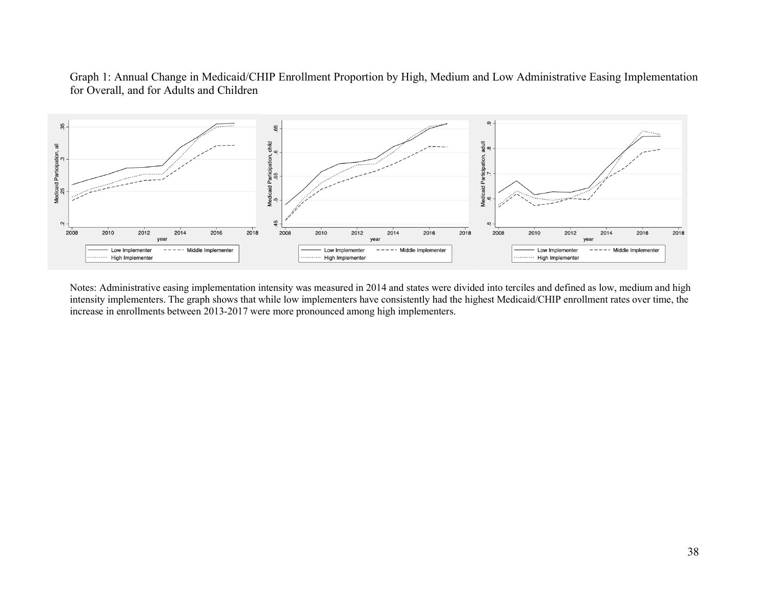## Graph 1: Annual Change in Medicaid/CHIP Enrollment Proportion by High, Medium and Low Administrative Easing Implementation for Overall, and for Adults and Children



Notes: Administrative easing implementation intensity was measured in 2014 and states were divided into terciles and defined as low, medium and high intensity implementers. The graph shows that while low implementers have consistently had the highest Medicaid/CHIP enrollment rates over time, the increase in enrollments between 2013-2017 were more pronounced among high implementers.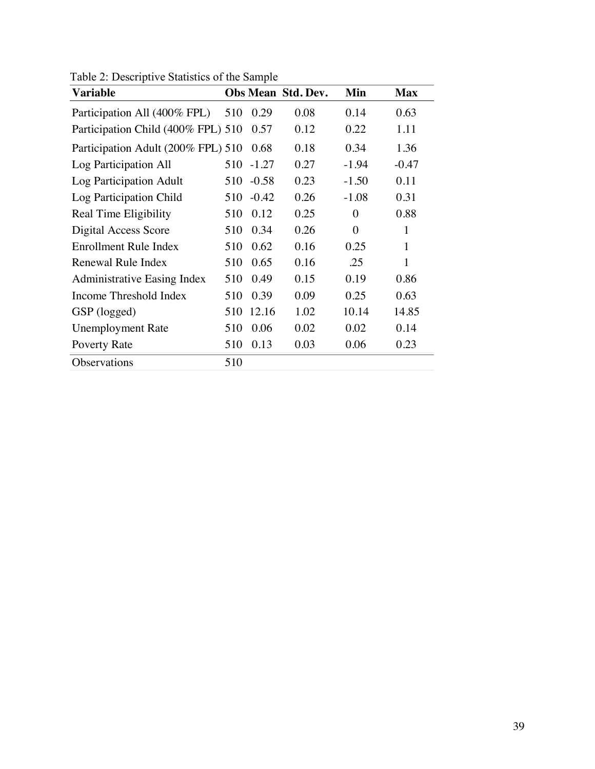| <b>Variable</b>                    |     |         | <b>Obs Mean Std. Dev.</b> | Min            | <b>Max</b> |
|------------------------------------|-----|---------|---------------------------|----------------|------------|
| Participation All (400% FPL)       | 510 | 0.29    | 0.08                      | 0.14           | 0.63       |
| Participation Child (400% FPL) 510 |     | 0.57    | 0.12                      | 0.22           | 1.11       |
| Participation Adult (200% FPL) 510 |     | 0.68    | 0.18                      | 0.34           | 1.36       |
| Log Participation All              | 510 | $-1.27$ | 0.27                      | $-1.94$        | $-0.47$    |
| Log Participation Adult            | 510 | $-0.58$ | 0.23                      | $-1.50$        | 0.11       |
| Log Participation Child            | 510 | $-0.42$ | 0.26                      | $-1.08$        | 0.31       |
| Real Time Eligibility              | 510 | 0.12    | 0.25                      | $\theta$       | 0.88       |
| <b>Digital Access Score</b>        | 510 | 0.34    | 0.26                      | $\overline{0}$ | 1          |
| Enrollment Rule Index              | 510 | 0.62    | 0.16                      | 0.25           | 1          |
| Renewal Rule Index                 | 510 | 0.65    | 0.16                      | .25            | 1          |
| <b>Administrative Easing Index</b> | 510 | 0.49    | 0.15                      | 0.19           | 0.86       |
| Income Threshold Index             | 510 | 0.39    | 0.09                      | 0.25           | 0.63       |
| GSP (logged)                       | 510 | 12.16   | 1.02                      | 10.14          | 14.85      |
| <b>Unemployment Rate</b>           | 510 | 0.06    | 0.02                      | 0.02           | 0.14       |
| Poverty Rate                       | 510 | 0.13    | 0.03                      | 0.06           | 0.23       |
| Observations                       | 510 |         |                           |                |            |

Table 2: Descriptive Statistics of the Sample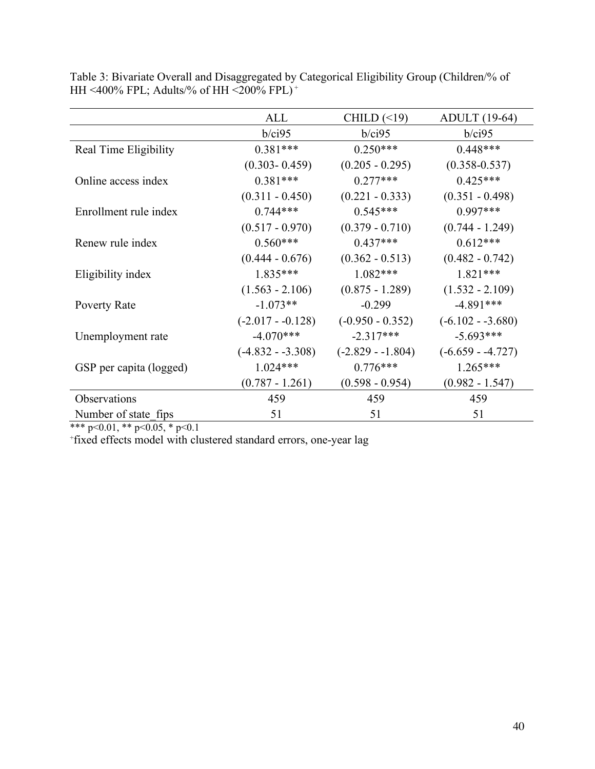|                         | ALL                | CHILD $(\leq 19)$  | <b>ADULT</b> (19-64) |
|-------------------------|--------------------|--------------------|----------------------|
|                         | b/ci95             | b/ci95             | b/ci95               |
| Real Time Eligibility   | $0.381***$         | $0.250***$         | $0.448***$           |
|                         | $(0.303 - 0.459)$  | $(0.205 - 0.295)$  | $(0.358 - 0.537)$    |
| Online access index     | $0.381***$         | $0.277***$         | $0.425***$           |
|                         | $(0.311 - 0.450)$  | $(0.221 - 0.333)$  | $(0.351 - 0.498)$    |
| Enrollment rule index   | $0.744***$         | $0.545***$         | $0.997***$           |
|                         | $(0.517 - 0.970)$  | $(0.379 - 0.710)$  | $(0.744 - 1.249)$    |
| Renew rule index        | $0.560***$         | $0.437***$         | $0.612***$           |
|                         | $(0.444 - 0.676)$  | $(0.362 - 0.513)$  | $(0.482 - 0.742)$    |
| Eligibility index       | $1.835***$         | $1.082***$         | $1.821***$           |
|                         | $(1.563 - 2.106)$  | $(0.875 - 1.289)$  | $(1.532 - 2.109)$    |
| Poverty Rate            | $-1.073**$         | $-0.299$           | $-4.891***$          |
|                         | $(-2.017 - 0.128)$ | $(-0.950 - 0.352)$ | $(-6.102 - 3.680)$   |
| Unemployment rate       | $-4.070***$        | $-2.317***$        | $-5.693***$          |
|                         | $(-4.832 - 3.308)$ | $(-2.829 - 1.804)$ | $(-6.659 - 4.727)$   |
| GSP per capita (logged) | $1.024***$         | $0.776***$         | $1.265***$           |
|                         | $(0.787 - 1.261)$  | $(0.598 - 0.954)$  | $(0.982 - 1.547)$    |
| Observations            | 459                | 459                | 459                  |
| Number of state fips    | 51                 | 51                 | 51                   |

Table 3: Bivariate Overall and Disaggregated by Categorical Eligibility Group (Children/% of HH <400% FPL; Adults/% of HH <200% FPL) <sup>+</sup>

\*\*\* p<0.01, \*\* p<0.05, \* p<0.1

+ fixed effects model with clustered standard errors, one-year lag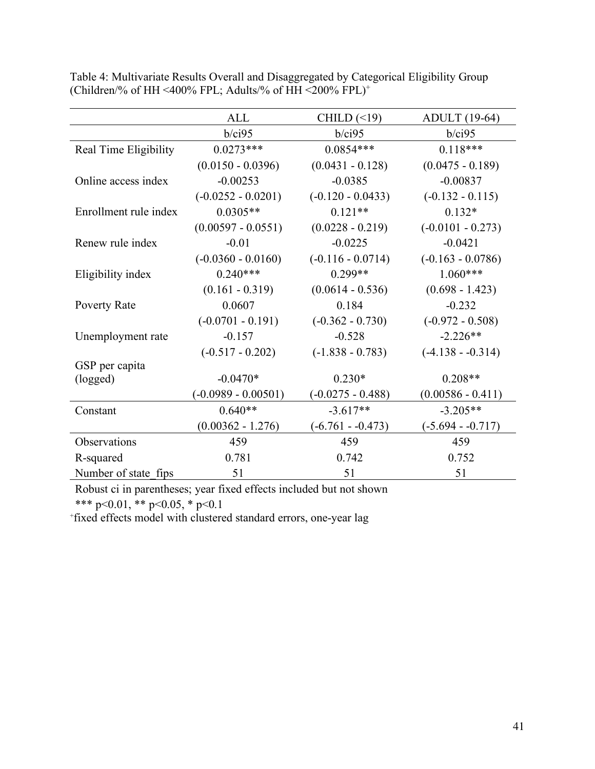|                       | <b>ALL</b>            | CHILD $(\leq 19)$   | <b>ADULT</b> (19-64) |
|-----------------------|-----------------------|---------------------|----------------------|
|                       | b/ci95                | b/ci95              | b/ci95               |
| Real Time Eligibility | $0.0273***$           | $0.0854***$         | $0.118***$           |
|                       | $(0.0150 - 0.0396)$   | $(0.0431 - 0.128)$  | $(0.0475 - 0.189)$   |
| Online access index   | $-0.00253$            | $-0.0385$           | $-0.00837$           |
|                       | $(-0.0252 - 0.0201)$  | $(-0.120 - 0.0433)$ | $(-0.132 - 0.115)$   |
| Enrollment rule index | $0.0305**$            | $0.121**$           | $0.132*$             |
|                       | $(0.00597 - 0.0551)$  | $(0.0228 - 0.219)$  | $(-0.0101 - 0.273)$  |
| Renew rule index      | $-0.01$               | $-0.0225$           | $-0.0421$            |
|                       | $(-0.0360 - 0.0160)$  | $(-0.116 - 0.0714)$ | $(-0.163 - 0.0786)$  |
| Eligibility index     | $0.240***$            | $0.299**$           | $1.060***$           |
|                       | $(0.161 - 0.319)$     | $(0.0614 - 0.536)$  | $(0.698 - 1.423)$    |
| Poverty Rate          | 0.0607                | 0.184               | $-0.232$             |
|                       | $(-0.0701 - 0.191)$   | $(-0.362 - 0.730)$  | $(-0.972 - 0.508)$   |
| Unemployment rate     | $-0.157$              | $-0.528$            | $-2.226**$           |
|                       | $(-0.517 - 0.202)$    | $(-1.838 - 0.783)$  | $(-4.138 - 0.314)$   |
| GSP per capita        |                       |                     |                      |
| (logged)              | $-0.0470*$            | $0.230*$            | $0.208**$            |
|                       | $(-0.0989 - 0.00501)$ | $(-0.0275 - 0.488)$ | $(0.00586 - 0.411)$  |
| Constant              | $0.640**$             | $-3.617**$          | $-3.205**$           |
|                       | $(0.00362 - 1.276)$   | $(-6.761 - 0.473)$  | $(-5.694 - 0.717)$   |
| Observations          | 459                   | 459                 | 459                  |
| R-squared             | 0.781                 | 0.742               | 0.752                |
| Number of state fips  | 51                    | 51                  | 51                   |

Table 4: Multivariate Results Overall and Disaggregated by Categorical Eligibility Group (Children/% of HH <400% FPL; Adults/% of HH <200%  $FPL$ )<sup>+</sup>

Robust ci in parentheses; year fixed effects included but not shown

\*\*\* p<0.01, \*\* p<0.05, \* p<0.1

+ fixed effects model with clustered standard errors, one-year lag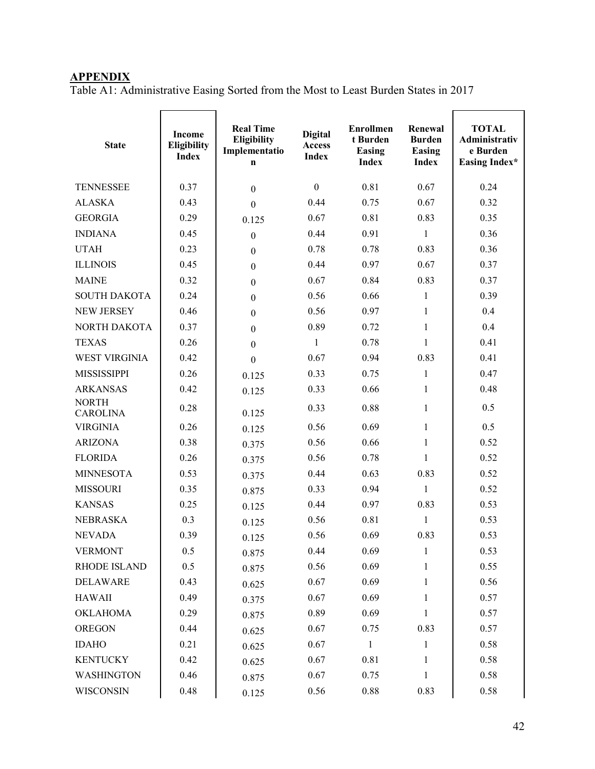# **APPENDIX**

Table A1: Administrative Easing Sorted from the Most to Least Burden States in 2017

| <b>State</b>                    | <b>Income</b><br>Eligibility<br><b>Index</b> | <b>Real Time</b><br>Eligibility<br>Implementatio<br>$\mathbf n$ | <b>Digital</b><br>Access<br><b>Index</b> | <b>Enrollmen</b><br>t Burden<br><b>Easing</b><br><b>Index</b> | Renewal<br><b>Burden</b><br><b>Easing</b><br><b>Index</b> | <b>TOTAL</b><br>Administrativ<br>e Burden<br>Easing Index* |
|---------------------------------|----------------------------------------------|-----------------------------------------------------------------|------------------------------------------|---------------------------------------------------------------|-----------------------------------------------------------|------------------------------------------------------------|
| <b>TENNESSEE</b>                | 0.37                                         | $\mathbf{0}$                                                    | $\boldsymbol{0}$                         | 0.81                                                          | 0.67                                                      | 0.24                                                       |
| <b>ALASKA</b>                   | 0.43                                         | $\overline{0}$                                                  | 0.44                                     | 0.75                                                          | 0.67                                                      | 0.32                                                       |
| <b>GEORGIA</b>                  | 0.29                                         | 0.125                                                           | 0.67                                     | 0.81                                                          | 0.83                                                      | 0.35                                                       |
| <b>INDIANA</b>                  | 0.45                                         | $\mathbf{0}$                                                    | 0.44                                     | 0.91                                                          | $\mathbf{1}$                                              | 0.36                                                       |
| <b>UTAH</b>                     | 0.23                                         | $\boldsymbol{0}$                                                | 0.78                                     | 0.78                                                          | 0.83                                                      | 0.36                                                       |
| <b>ILLINOIS</b>                 | 0.45                                         | $\mathbf{0}$                                                    | 0.44                                     | 0.97                                                          | 0.67                                                      | 0.37                                                       |
| <b>MAINE</b>                    | 0.32                                         | $\boldsymbol{0}$                                                | 0.67                                     | 0.84                                                          | 0.83                                                      | 0.37                                                       |
| <b>SOUTH DAKOTA</b>             | 0.24                                         | $\boldsymbol{0}$                                                | 0.56                                     | 0.66                                                          | 1                                                         | 0.39                                                       |
| <b>NEW JERSEY</b>               | 0.46                                         | $\boldsymbol{0}$                                                | 0.56                                     | 0.97                                                          | $\mathbf{1}$                                              | 0.4                                                        |
| NORTH DAKOTA                    | 0.37                                         | $\boldsymbol{0}$                                                | 0.89                                     | 0.72                                                          | $\mathbf{1}$                                              | 0.4                                                        |
| <b>TEXAS</b>                    | 0.26                                         | $\mathbf{0}$                                                    | 1                                        | 0.78                                                          | 1                                                         | 0.41                                                       |
| <b>WEST VIRGINIA</b>            | 0.42                                         | $\mathbf{0}$                                                    | 0.67                                     | 0.94                                                          | 0.83                                                      | 0.41                                                       |
| <b>MISSISSIPPI</b>              | 0.26                                         | 0.125                                                           | 0.33                                     | 0.75                                                          | $\mathbf{1}$                                              | 0.47                                                       |
| <b>ARKANSAS</b>                 | 0.42                                         | 0.125                                                           | 0.33                                     | 0.66                                                          | $\mathbf{1}$                                              | 0.48                                                       |
| <b>NORTH</b><br><b>CAROLINA</b> | 0.28                                         | 0.125                                                           | 0.33                                     | 0.88                                                          | $\mathbf{1}$                                              | 0.5                                                        |
| <b>VIRGINIA</b>                 | 0.26                                         | 0.125                                                           | 0.56                                     | 0.69                                                          | $\mathbf{1}$                                              | 0.5                                                        |
| <b>ARIZONA</b>                  | 0.38                                         | 0.375                                                           | 0.56                                     | 0.66                                                          | $\mathbf{1}$                                              | 0.52                                                       |
| <b>FLORIDA</b>                  | 0.26                                         | 0.375                                                           | 0.56                                     | 0.78                                                          | 1                                                         | 0.52                                                       |
| <b>MINNESOTA</b>                | 0.53                                         | 0.375                                                           | 0.44                                     | 0.63                                                          | 0.83                                                      | 0.52                                                       |
| <b>MISSOURI</b>                 | 0.35                                         | 0.875                                                           | 0.33                                     | 0.94                                                          | $\mathbf{1}$                                              | 0.52                                                       |
| <b>KANSAS</b>                   | 0.25                                         | 0.125                                                           | 0.44                                     | 0.97                                                          | 0.83                                                      | 0.53                                                       |
| <b>NEBRASKA</b>                 | 0.3                                          | 0.125                                                           | 0.56                                     | 0.81                                                          | $\mathbf{1}$                                              | 0.53                                                       |
| <b>NEVADA</b>                   | 0.39                                         | 0.125                                                           | 0.56                                     | 0.69                                                          | 0.83                                                      | 0.53                                                       |
| <b>VERMONT</b>                  | 0.5                                          | 0.875                                                           | 0.44                                     | 0.69                                                          | 1                                                         | 0.53                                                       |
| RHODE ISLAND                    | 0.5                                          | 0.875                                                           | 0.56                                     | 0.69                                                          | 1                                                         | 0.55                                                       |
| <b>DELAWARE</b>                 | 0.43                                         | 0.625                                                           | 0.67                                     | 0.69                                                          | 1                                                         | 0.56                                                       |
| <b>HAWAII</b>                   | 0.49                                         | 0.375                                                           | 0.67                                     | 0.69                                                          | 1                                                         | 0.57                                                       |
| <b>OKLAHOMA</b>                 | 0.29                                         | 0.875                                                           | 0.89                                     | 0.69                                                          | $\mathbf{1}$                                              | 0.57                                                       |
| <b>OREGON</b>                   | 0.44                                         | 0.625                                                           | 0.67                                     | 0.75                                                          | 0.83                                                      | 0.57                                                       |
| <b>IDAHO</b>                    | 0.21                                         | 0.625                                                           | 0.67                                     | $\overline{1}$                                                | $\mathbf{1}$                                              | 0.58                                                       |
| <b>KENTUCKY</b>                 | 0.42                                         | 0.625                                                           | 0.67                                     | 0.81                                                          | 1                                                         | 0.58                                                       |
| <b>WASHINGTON</b>               | 0.46                                         | 0.875                                                           | 0.67                                     | 0.75                                                          | 1                                                         | 0.58                                                       |
| WISCONSIN                       | 0.48                                         | 0.125                                                           | 0.56                                     | 0.88                                                          | 0.83                                                      | 0.58                                                       |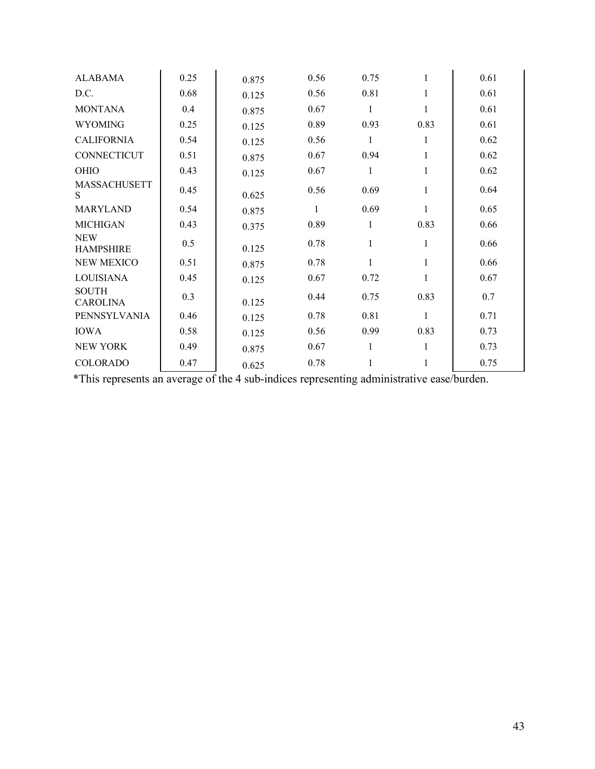| <b>ALABAMA</b>                  | 0.25 | 0.875 | 0.56         | 0.75         | $\mathbf{1}$ | 0.61 |
|---------------------------------|------|-------|--------------|--------------|--------------|------|
| D.C.                            | 0.68 | 0.125 | 0.56         | 0.81         | $\mathbf{1}$ | 0.61 |
| <b>MONTANA</b>                  | 0.4  | 0.875 | 0.67         | 1            | 1            | 0.61 |
| <b>WYOMING</b>                  | 0.25 | 0.125 | 0.89         | 0.93         | 0.83         | 0.61 |
| <b>CALIFORNIA</b>               | 0.54 | 0.125 | 0.56         | 1            | 1            | 0.62 |
| CONNECTICUT                     | 0.51 | 0.875 | 0.67         | 0.94         | 1            | 0.62 |
| OHIO                            | 0.43 | 0.125 | 0.67         | $\mathbf{1}$ | $\mathbf{1}$ | 0.62 |
| <b>MASSACHUSETT</b><br>S.       | 0.45 | 0.625 | 0.56         | 0.69         | 1            | 0.64 |
| <b>MARYLAND</b>                 | 0.54 | 0.875 | $\mathbf{1}$ | 0.69         | 1            | 0.65 |
| <b>MICHIGAN</b>                 | 0.43 | 0.375 | 0.89         | 1            | 0.83         | 0.66 |
| <b>NEW</b><br><b>HAMPSHIRE</b>  | 0.5  | 0.125 | 0.78         | 1            | $\mathbf{1}$ | 0.66 |
| <b>NEW MEXICO</b>               | 0.51 | 0.875 | 0.78         | 1            | 1            | 0.66 |
| <b>LOUISIANA</b>                | 0.45 | 0.125 | 0.67         | 0.72         | 1            | 0.67 |
| <b>SOUTH</b><br><b>CAROLINA</b> | 0.3  | 0.125 | 0.44         | 0.75         | 0.83         | 0.7  |
| PENNSYLVANIA                    | 0.46 | 0.125 | 0.78         | 0.81         | $\mathbf{1}$ | 0.71 |
| <b>IOWA</b>                     | 0.58 | 0.125 | 0.56         | 0.99         | 0.83         | 0.73 |
| <b>NEW YORK</b>                 | 0.49 | 0.875 | 0.67         | 1            | 1            | 0.73 |
| <b>COLORADO</b>                 | 0.47 | 0.625 | 0.78         | 1            |              | 0.75 |

\*This represents an average of the 4 sub-indices representing administrative ease/burden.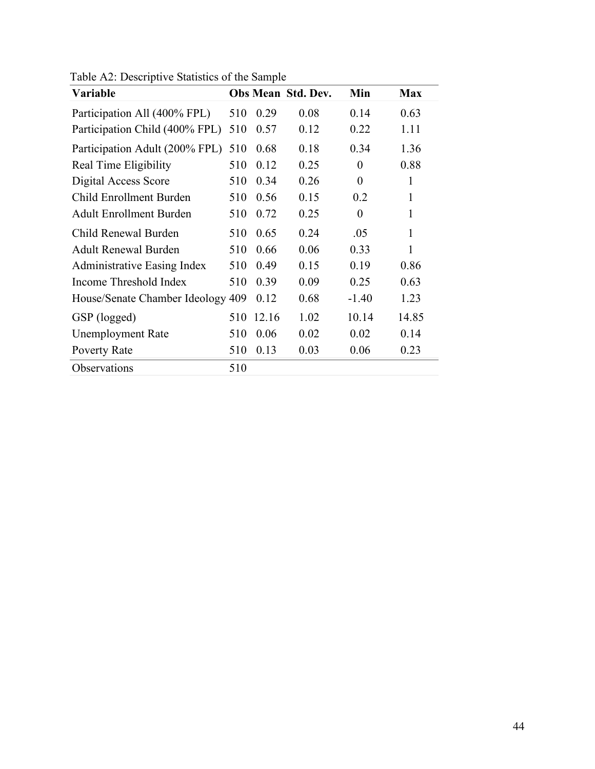| Variable                           |     |       | Obs Mean Std. Dev. | Min              | <b>Max</b>   |
|------------------------------------|-----|-------|--------------------|------------------|--------------|
| Participation All (400% FPL)       | 510 | 0.29  | 0.08               | 0.14             | 0.63         |
| Participation Child (400% FPL)     | 510 | 0.57  | 0.12               | 0.22             | 1.11         |
| Participation Adult (200% FPL)     | 510 | 0.68  | 0.18               | 0.34             | 1.36         |
| Real Time Eligibility              | 510 | 0.12  | 0.25               | 0                | 0.88         |
| Digital Access Score               | 510 | 0.34  | 0.26               | $\boldsymbol{0}$ | 1            |
| Child Enrollment Burden            | 510 | 0.56  | 0.15               | 0.2              | $\mathbf{1}$ |
| <b>Adult Enrollment Burden</b>     | 510 | 0.72  | 0.25               | $\boldsymbol{0}$ | 1            |
| Child Renewal Burden               | 510 | 0.65  | 0.24               | .05              | $\mathbf{1}$ |
| <b>Adult Renewal Burden</b>        | 510 | 0.66  | 0.06               | 0.33             | $\mathbf{1}$ |
| <b>Administrative Easing Index</b> | 510 | 0.49  | 0.15               | 0.19             | 0.86         |
| Income Threshold Index             | 510 | 0.39  | 0.09               | 0.25             | 0.63         |
| House/Senate Chamber Ideology 409  |     | 0.12  | 0.68               | $-1.40$          | 1.23         |
| GSP (logged)                       | 510 | 12.16 | 1.02               | 10.14            | 14.85        |
| <b>Unemployment Rate</b>           | 510 | 0.06  | 0.02               | 0.02             | 0.14         |
| Poverty Rate                       | 510 | 0.13  | 0.03               | 0.06             | 0.23         |
| Observations                       | 510 |       |                    |                  |              |

Table A2: Descriptive Statistics of the Sample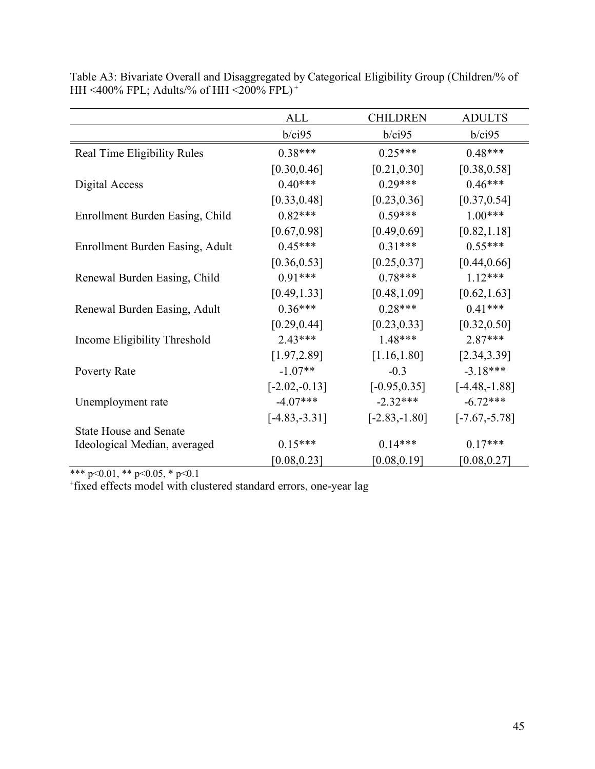|                                 | <b>ALL</b>       | <b>CHILDREN</b> | <b>ADULTS</b>    |
|---------------------------------|------------------|-----------------|------------------|
|                                 | $b$ /ci $95$     | $b$ /ci $95$    | $b$ /ci $95$     |
| Real Time Eligibility Rules     | $0.38***$        | $0.25***$       | $0.48***$        |
|                                 | [0.30, 0.46]     | [0.21, 0.30]    | [0.38, 0.58]     |
| Digital Access                  | $0.40***$        | $0.29***$       | $0.46***$        |
|                                 | [0.33, 0.48]     | [0.23, 0.36]    | [0.37, 0.54]     |
| Enrollment Burden Easing, Child | $0.82***$        | $0.59***$       | $1.00***$        |
|                                 | [0.67, 0.98]     | [0.49, 0.69]    | [0.82, 1.18]     |
| Enrollment Burden Easing, Adult | $0.45***$        | $0.31***$       | $0.55***$        |
|                                 | [0.36, 0.53]     | [0.25, 0.37]    | [0.44, 0.66]     |
| Renewal Burden Easing, Child    | $0.91***$        | $0.78***$       | $1.12***$        |
|                                 | [0.49, 1.33]     | [0.48, 1.09]    | [0.62, 1.63]     |
| Renewal Burden Easing, Adult    | $0.36***$        | $0.28***$       | $0.41***$        |
|                                 | [0.29, 0.44]     | [0.23, 0.33]    | [0.32, 0.50]     |
| Income Eligibility Threshold    | $2.43***$        | $1.48***$       | 2.87***          |
|                                 | [1.97, 2.89]     | [1.16, 1.80]    | [2.34, 3.39]     |
| Poverty Rate                    | $-1.07**$        | $-0.3$          | $-3.18***$       |
|                                 | $[-2.02,-0.13]$  | $[-0.95, 0.35]$ | $[-4.48,-1.88]$  |
| Unemployment rate               | $-4.07***$       | $-2.32***$      | $-6.72***$       |
|                                 | $[-4.83, -3.31]$ | $[-2.83,-1.80]$ | $[-7.67, -5.78]$ |
| <b>State House and Senate</b>   |                  |                 |                  |
| Ideological Median, averaged    | $0.15***$        | $0.14***$       | $0.17***$        |
|                                 | [0.08, 0.23]     | [0.08, 0.19]    | [0.08, 0.27]     |

Table A3: Bivariate Overall and Disaggregated by Categorical Eligibility Group (Children/% of HH <400% FPL; Adults/% of HH <200% FPL) <sup>+</sup>

\*\*\* p<0.01, \*\* p<0.05, \* p<0.1

+ fixed effects model with clustered standard errors, one-year lag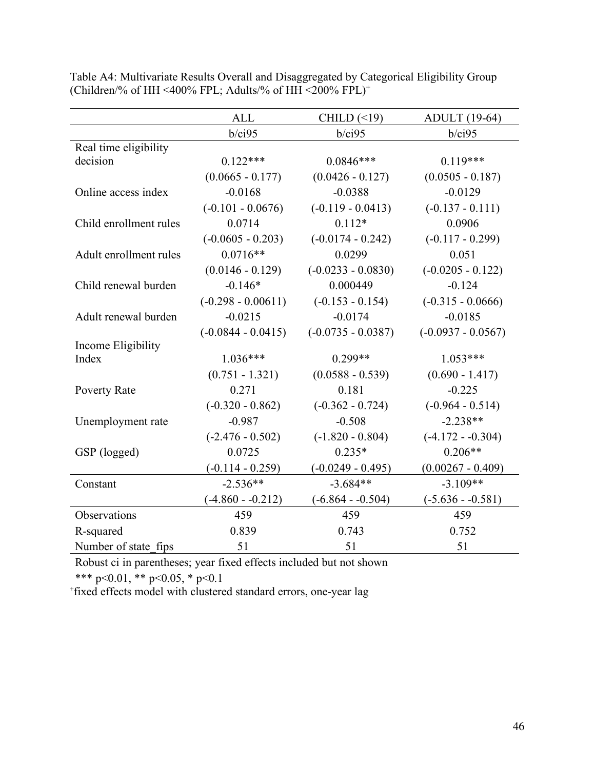|                        | <b>ALL</b>           | CHILD $(\leq 19)$    | <b>ADULT</b> (19-64) |
|------------------------|----------------------|----------------------|----------------------|
|                        | b/ci95               | b/ci95               | $b$ /ci $95$         |
| Real time eligibility  |                      |                      |                      |
| decision               | $0.122***$           | $0.0846***$          | $0.119***$           |
|                        | $(0.0665 - 0.177)$   | $(0.0426 - 0.127)$   | $(0.0505 - 0.187)$   |
| Online access index    | $-0.0168$            | $-0.0388$            | $-0.0129$            |
|                        | $(-0.101 - 0.0676)$  | $(-0.119 - 0.0413)$  | $(-0.137 - 0.111)$   |
| Child enrollment rules | 0.0714               | $0.112*$             | 0.0906               |
|                        | $(-0.0605 - 0.203)$  | $(-0.0174 - 0.242)$  | $(-0.117 - 0.299)$   |
| Adult enrollment rules | $0.0716**$           | 0.0299               | 0.051                |
|                        | $(0.0146 - 0.129)$   | $(-0.0233 - 0.0830)$ | $(-0.0205 - 0.122)$  |
| Child renewal burden   | $-0.146*$            | 0.000449             | $-0.124$             |
|                        | $(-0.298 - 0.00611)$ | $(-0.153 - 0.154)$   | $(-0.315 - 0.0666)$  |
| Adult renewal burden   | $-0.0215$            | $-0.0174$            | $-0.0185$            |
|                        | $(-0.0844 - 0.0415)$ | $(-0.0735 - 0.0387)$ | $(-0.0937 - 0.0567)$ |
| Income Eligibility     |                      |                      |                      |
| Index                  | $1.036***$           | $0.299**$            | $1.053***$           |
|                        | $(0.751 - 1.321)$    | $(0.0588 - 0.539)$   | $(0.690 - 1.417)$    |
| Poverty Rate           | 0.271                | 0.181                | $-0.225$             |
|                        | $(-0.320 - 0.862)$   | $(-0.362 - 0.724)$   | $(-0.964 - 0.514)$   |
| Unemployment rate      | $-0.987$             | $-0.508$             | $-2.238**$           |
|                        | $(-2.476 - 0.502)$   | $(-1.820 - 0.804)$   | $(-4.172 - 0.304)$   |
| GSP (logged)           | 0.0725               | $0.235*$             | $0.206**$            |
|                        | $(-0.114 - 0.259)$   | $(-0.0249 - 0.495)$  | $(0.00267 - 0.409)$  |
| Constant               | $-2.536**$           | $-3.684**$           | $-3.109**$           |
|                        | $(-4.860 - 0.212)$   | $(-6.864 - 0.504)$   | $(-5.636 - 0.581)$   |
| Observations           | 459                  | 459                  | 459                  |
| R-squared              | 0.839                | 0.743                | 0.752                |
| Number of state fips   | 51                   | 51                   | 51                   |

Table A4: Multivariate Results Overall and Disaggregated by Categorical Eligibility Group (Children/% of HH <400% FPL; Adults/% of HH <200% FPL)<sup>+</sup>

Robust ci in parentheses; year fixed effects included but not shown

\*\*\* p<0.01, \*\* p<0.05, \* p<0.1

+ fixed effects model with clustered standard errors, one-year lag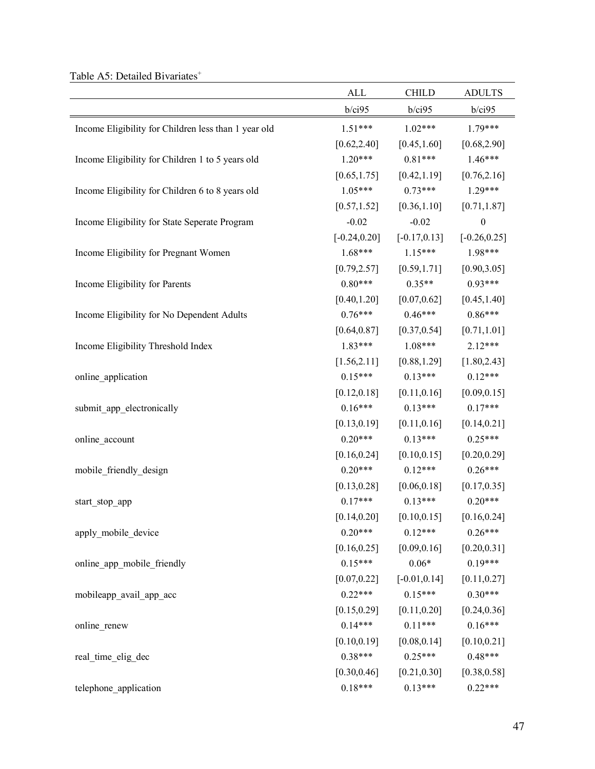| Table A5: Detailed Bivariates <sup>+</sup> |  |
|--------------------------------------------|--|
|--------------------------------------------|--|

|                                                      | <b>ALL</b>      | <b>CHILD</b>    | <b>ADULTS</b>    |
|------------------------------------------------------|-----------------|-----------------|------------------|
|                                                      | b/ci95          | $b$ /ci $95$    | $b$ /ci $95$     |
| Income Eligibility for Children less than 1 year old | $1.51***$       | $1.02***$       | $1.79***$        |
|                                                      | [0.62, 2.40]    | [0.45, 1.60]    | [0.68, 2.90]     |
| Income Eligibility for Children 1 to 5 years old     | $1.20***$       | $0.81***$       | $1.46***$        |
|                                                      | [0.65, 1.75]    | [0.42, 1.19]    | [0.76, 2.16]     |
| Income Eligibility for Children 6 to 8 years old     | $1.05***$       | $0.73***$       | $1.29***$        |
|                                                      | [0.57, 1.52]    | [0.36, 1.10]    | [0.71, 1.87]     |
| Income Eligibility for State Seperate Program        | $-0.02$         | $-0.02$         | $\boldsymbol{0}$ |
|                                                      | $[-0.24, 0.20]$ | $[-0.17, 0.13]$ | $[-0.26, 0.25]$  |
| Income Eligibility for Pregnant Women                | $1.68***$       | $1.15***$       | 1.98***          |
|                                                      | [0.79, 2.57]    | [0.59, 1.71]    | [0.90, 3.05]     |
| Income Eligibility for Parents                       | $0.80***$       | $0.35**$        | $0.93***$        |
|                                                      | [0.40, 1.20]    | [0.07, 0.62]    | [0.45, 1.40]     |
| Income Eligibility for No Dependent Adults           | $0.76***$       | $0.46***$       | $0.86***$        |
|                                                      | [0.64, 0.87]    | [0.37, 0.54]    | [0.71, 1.01]     |
| Income Eligibility Threshold Index                   | $1.83***$       | $1.08***$       | $2.12***$        |
|                                                      | [1.56, 2.11]    | [0.88, 1.29]    | [1.80, 2.43]     |
| online_application                                   | $0.15***$       | $0.13***$       | $0.12***$        |
|                                                      | [0.12, 0.18]    | [0.11, 0.16]    | [0.09, 0.15]     |
| submit_app_electronically                            | $0.16***$       | $0.13***$       | $0.17***$        |
|                                                      | [0.13, 0.19]    | [0.11, 0.16]    | [0.14, 0.21]     |
| online_account                                       | $0.20***$       | $0.13***$       | $0.25***$        |
|                                                      | [0.16, 0.24]    | [0.10, 0.15]    | [0.20, 0.29]     |
| mobile_friendly_design                               | $0.20***$       | $0.12***$       | $0.26***$        |
|                                                      | [0.13, 0.28]    | [0.06, 0.18]    | [0.17, 0.35]     |
| start_stop_app                                       | $0.17***$       | $0.13***$       | $0.20***$        |
|                                                      | [0.14, 0.20]    | [0.10, 0.15]    | [0.16, 0.24]     |
| apply_mobile_device                                  | $0.20***$       | $0.12***$       | $0.26***$        |
|                                                      | [0.16, 0.25]    | [0.09, 0.16]    | [0.20, 0.31]     |
| online_app_mobile_friendly                           | $0.15***$       | $0.06*$         | $0.19***$        |
|                                                      | [0.07, 0.22]    | $[-0.01, 0.14]$ | [0.11, 0.27]     |
| mobileapp_avail_app_acc                              | $0.22***$       | $0.15***$       | $0.30***$        |
|                                                      | [0.15, 0.29]    | [0.11, 0.20]    | [0.24, 0.36]     |
| online_renew                                         | $0.14***$       | $0.11***$       | $0.16***$        |
|                                                      | [0.10, 0.19]    | [0.08, 0.14]    | [0.10, 0.21]     |
| real_time_elig_dec                                   | $0.38***$       | $0.25***$       | $0.48***$        |
|                                                      | [0.30, 0.46]    | [0.21, 0.30]    | [0.38, 0.58]     |
| telephone_application                                | $0.18***$       | $0.13***$       | $0.22***$        |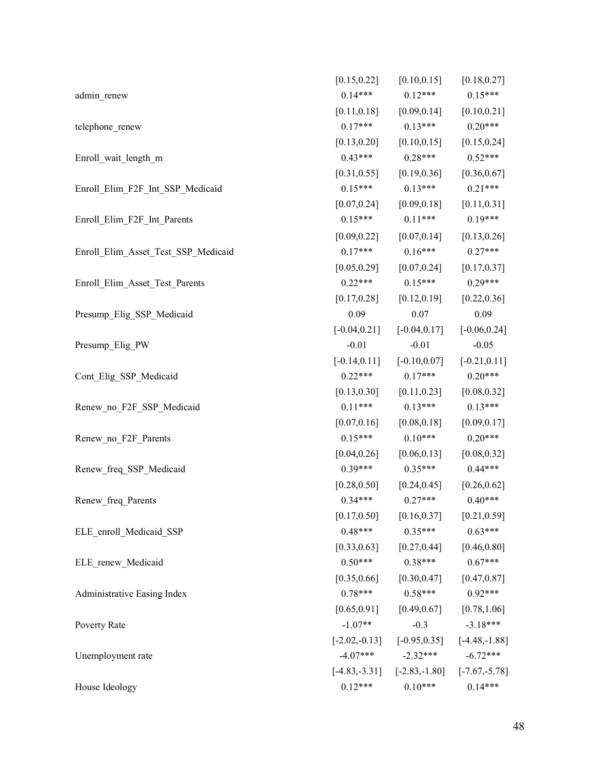|                                     | [0.15, 0.22]    | [0.10, 0.15]                                       | [0.18, 0.27]                    |
|-------------------------------------|-----------------|----------------------------------------------------|---------------------------------|
| admin_renew                         | $0.14***$       | $0.12***$                                          | $0.15***$                       |
|                                     | [0.11, 0.18]    |                                                    | $[0.09, 0.14]$ $[0.10, 0.21]$   |
| telephone_renew                     | $0.17***$       | $0.13***$ $0.20***$                                |                                 |
|                                     | [0.13, 0.20]    | [0.10, 0.15]                                       | [0.15, 0.24]                    |
| Enroll_wait_length_m                | $0.43***$       | $0.28***$                                          | $0.52***$                       |
|                                     | [0.31, 0.55]    | [0.19, 0.36]                                       | [0.36, 0.67]                    |
| Enroll Elim F2F Int SSP Medicaid    | $0.15***$       | $0.13***$                                          | $0.21***$                       |
|                                     | [0.07, 0.24]    | [0.09, 0.18]                                       | [0.11, 0.31]                    |
| Enroll_Elim_F2F_Int_Parents         | $0.15***$       | $0.11***$                                          | $0.19***$                       |
|                                     | [0.09, 0.22]    |                                                    | $[0.07, 0.14]$ $[0.13, 0.26]$   |
| Enroll_Elim_Asset_Test_SSP_Medicaid | $0.17***$       | $0.16***$                                          | $0.27***$                       |
|                                     | [0.05, 0.29]    |                                                    | $[0.07, 0.24]$ $[0.17, 0.37]$   |
| Enroll_Elim_Asset_Test_Parents      | $0.22***$       | $0.15***$                                          | $0.29***$                       |
|                                     | [0.17, 0.28]    | [0.12, 0.19]                                       | [0.22, 0.36]                    |
| Presump Elig SSP Medicaid           | 0.09            | 0.07                                               | 0.09                            |
|                                     | $[-0.04, 0.21]$ |                                                    | $[-0.04, 0.17]$ $[-0.06, 0.24]$ |
| Presump Elig PW                     | $-0.01$         | $-0.01$                                            | $-0.05$                         |
|                                     |                 | $[-0.14, 0.11]$ $[-0.10, 0.07]$ $[-0.21, 0.11]$    |                                 |
| Cont_Elig_SSP_Medicaid              | $0.22***$       | $0.17***$                                          | $0.20***$                       |
|                                     | [0.13, 0.30]    |                                                    | $[0.11, 0.23]$ $[0.08, 0.32]$   |
| Renew no F2F SSP Medicaid           | $0.11***$       | $0.13***$ $0.13***$                                |                                 |
|                                     | [0.07, 0.16]    | [0.08, 0.18]                                       | [0.09, 0.17]                    |
| Renew_no_F2F_Parents                | $0.15***$       | $0.10***$                                          | $0.20***$                       |
|                                     | [0.04, 0.26]    | [0.06, 0.13]                                       | [0.08, 0.32]                    |
| Renew_freq_SSP_Medicaid             | $0.39***$       | $0.35***$                                          | $0.44***$                       |
|                                     |                 | $[0.28, 0.50]$ $[0.24, 0.45]$ $[0.26, 0.62]$       |                                 |
| Renew_freq_Parents                  |                 | $0.34***$ $0.27***$ $0.40***$                      |                                 |
|                                     | [0.17, 0.50]    | [0.16, 0.37]                                       | [0.21, 0.59]                    |
| ELE_enroll_Medicaid_SSP             | $0.48***$       | $0.35***$                                          | $0.63***$                       |
|                                     |                 | $[0.33, 0.63]$ $[0.27, 0.44]$ $[0.46, 0.80]$       |                                 |
| ELE_renew_Medicaid                  |                 | $0.50***$ $0.38***$ $0.67***$                      |                                 |
|                                     |                 | $[0.35, 0.66]$ $[0.30, 0.47]$ $[0.47, 0.87]$       |                                 |
| Administrative Easing Index         | $0.78***$       | $0.58***$ $0.92***$                                |                                 |
|                                     | [0.65, 0.91]    |                                                    | $[0.49, 0.67]$ $[0.78, 1.06]$   |
| Poverty Rate                        | $-1.07**$       | $-0.3$                                             | $-3.18***$                      |
|                                     |                 | $[-2.02, -0.13]$ $[-0.95, 0.35]$ $[-4.48, -1.88]$  |                                 |
| Unemployment rate                   |                 | $-4.07***$ $-2.32***$                              | $-6.72***$                      |
|                                     |                 | $[-4.83, -3.31]$ $[-2.83, -1.80]$ $[-7.67, -5.78]$ |                                 |
| House Ideology                      | $0.12***$       | $0.10***$                                          | $0.14***$                       |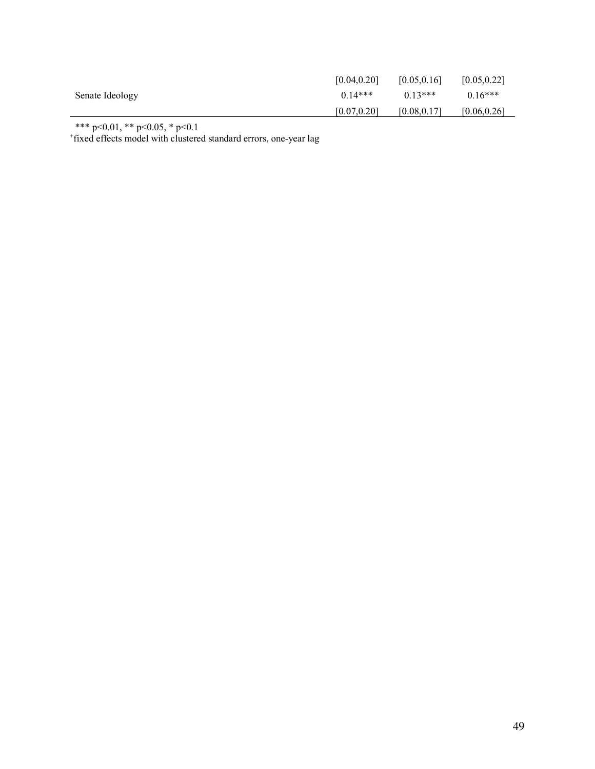|                 | [0.04, 0.20] | [0.05, 0.16] | [0.05, 0.22] |
|-----------------|--------------|--------------|--------------|
| Senate Ideology | $0.14***$    | $0.13***$    | $0.16***$    |
|                 | [0.07, 0.20] | [0.08, 0.17] | [0.06, 0.26] |

\*\*\* p<0.01, \*\* p<0.05, \* p<0.1 + fixed effects model with clustered standard errors, one-year lag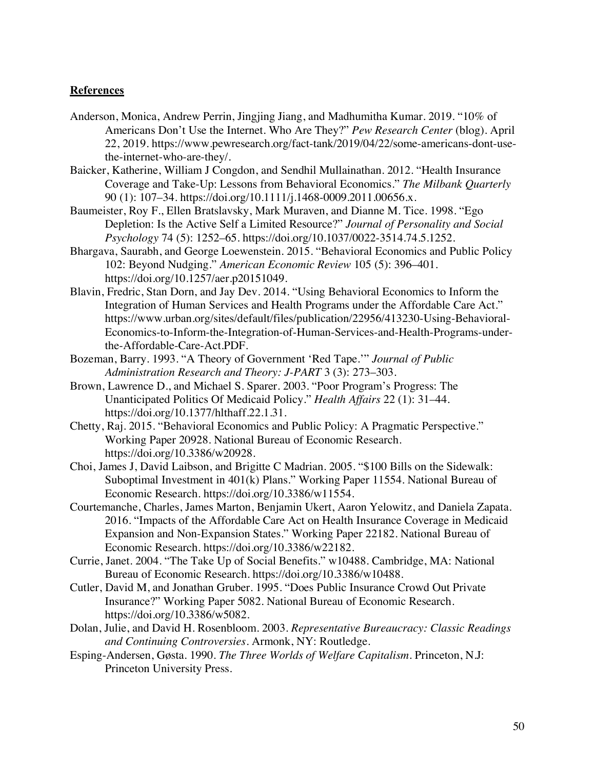## **References**

- Anderson, Monica, Andrew Perrin, Jingjing Jiang, and Madhumitha Kumar. 2019. "10% of Americans Don't Use the Internet. Who Are They?" *Pew Research Center* (blog). April 22, 2019. https://www.pewresearch.org/fact-tank/2019/04/22/some-americans-dont-usethe-internet-who-are-they/.
- Baicker, Katherine, William J Congdon, and Sendhil Mullainathan. 2012. "Health Insurance Coverage and Take-Up: Lessons from Behavioral Economics." *The Milbank Quarterly* 90 (1): 107-34. https://doi.org/10.1111/j.1468-0009.2011.00656.x.
- Baumeister, Roy F., Ellen Bratslavsky, Mark Muraven, and Dianne M. Tice. 1998. "Ego Depletion: Is the Active Self a Limited Resource?" *Journal of Personality and Social Psychology* 74 (5): 1252–65. https://doi.org/10.1037/0022-3514.74.5.1252.
- Bhargava, Saurabh, and George Loewenstein. 2015. "Behavioral Economics and Public Policy 102: Beyond Nudging." *American Economic Review* 105 (5): 396–401. https://doi.org/10.1257/aer.p20151049.
- Blavin, Fredric, Stan Dorn, and Jay Dev. 2014. "Using Behavioral Economics to Inform the Integration of Human Services and Health Programs under the Affordable Care Act." https://www.urban.org/sites/default/files/publication/22956/413230-Using-Behavioral-Economics-to-Inform-the-Integration-of-Human-Services-and-Health-Programs-underthe-Affordable-Care-Act.PDF.
- Bozeman, Barry. 1993. "A Theory of Government 'Red Tape.'" *Journal of Public Administration Research and Theory: J-PART* 3 (3): 273–303.
- Brown, Lawrence D., and Michael S. Sparer. 2003. "Poor Program's Progress: The Unanticipated Politics Of Medicaid Policy." *Health Affairs* 22 (1): 31–44. https://doi.org/10.1377/hlthaff.22.1.31.
- Chetty, Raj. 2015. "Behavioral Economics and Public Policy: A Pragmatic Perspective." Working Paper 20928. National Bureau of Economic Research. https://doi.org/10.3386/w20928.
- Choi, James J, David Laibson, and Brigitte C Madrian. 2005. "\$100 Bills on the Sidewalk: Suboptimal Investment in 401(k) Plans." Working Paper 11554. National Bureau of Economic Research. https://doi.org/10.3386/w11554.
- Courtemanche, Charles, James Marton, Benjamin Ukert, Aaron Yelowitz, and Daniela Zapata. 2016. "Impacts of the Affordable Care Act on Health Insurance Coverage in Medicaid Expansion and Non-Expansion States." Working Paper 22182. National Bureau of Economic Research. https://doi.org/10.3386/w22182.
- Currie, Janet. 2004. "The Take Up of Social Benefits." w10488. Cambridge, MA: National Bureau of Economic Research. https://doi.org/10.3386/w10488.
- Cutler, David M, and Jonathan Gruber. 1995. "Does Public Insurance Crowd Out Private Insurance?" Working Paper 5082. National Bureau of Economic Research. https://doi.org/10.3386/w5082.
- Dolan, Julie, and David H. Rosenbloom. 2003. *Representative Bureaucracy: Classic Readings and Continuing Controversies*. Armonk, NY: Routledge.
- Esping-Andersen, Gøsta. 1990. *The Three Worlds of Welfare Capitalism*. Princeton, N.J: Princeton University Press.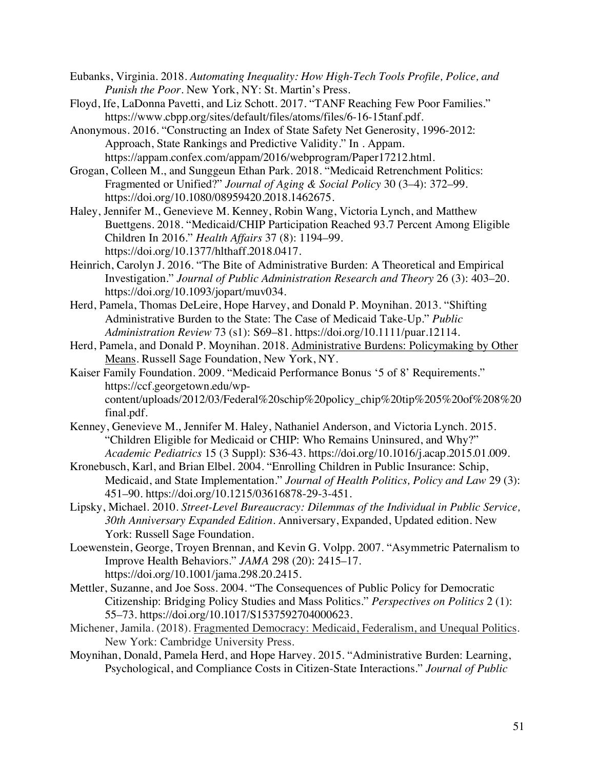- Eubanks, Virginia. 2018. *Automating Inequality: How High-Tech Tools Profile, Police, and Punish the Poor*. New York, NY: St. Martin's Press.
- Floyd, Ife, LaDonna Pavetti, and Liz Schott. 2017. "TANF Reaching Few Poor Families." https://www.cbpp.org/sites/default/files/atoms/files/6-16-15tanf.pdf.
- Anonymous. 2016. "Constructing an Index of State Safety Net Generosity, 1996-2012: Approach, State Rankings and Predictive Validity." In . Appam. https://appam.confex.com/appam/2016/webprogram/Paper17212.html.
- Grogan, Colleen M., and Sunggeun Ethan Park. 2018. "Medicaid Retrenchment Politics: Fragmented or Unified?" *Journal of Aging & Social Policy* 30 (3–4): 372–99. https://doi.org/10.1080/08959420.2018.1462675.
- Haley, Jennifer M., Genevieve M. Kenney, Robin Wang, Victoria Lynch, and Matthew Buettgens. 2018. "Medicaid/CHIP Participation Reached 93.7 Percent Among Eligible Children In 2016." *Health Affairs* 37 (8): 1194–99. https://doi.org/10.1377/hlthaff.2018.0417.
- Heinrich, Carolyn J. 2016. "The Bite of Administrative Burden: A Theoretical and Empirical Investigation." *Journal of Public Administration Research and Theory* 26 (3): 403–20. https://doi.org/10.1093/jopart/muv034.
- Herd, Pamela, Thomas DeLeire, Hope Harvey, and Donald P. Moynihan. 2013. "Shifting Administrative Burden to the State: The Case of Medicaid Take-Up." *Public Administration Review* 73 (s1): S69–81. https://doi.org/10.1111/puar.12114.
- Herd, Pamela, and Donald P. Moynihan. 2018. Administrative Burdens: Policymaking by Other Means. Russell Sage Foundation, New York, NY.
- Kaiser Family Foundation. 2009. "Medicaid Performance Bonus '5 of 8' Requirements." https://ccf.georgetown.edu/wpcontent/uploads/2012/03/Federal%20schip%20policy\_chip%20tip%205%20of%208%20 final.pdf.
- Kenney, Genevieve M., Jennifer M. Haley, Nathaniel Anderson, and Victoria Lynch. 2015. "Children Eligible for Medicaid or CHIP: Who Remains Uninsured, and Why?" *Academic Pediatrics* 15 (3 Suppl): S36-43. https://doi.org/10.1016/j.acap.2015.01.009.
- Kronebusch, Karl, and Brian Elbel. 2004. "Enrolling Children in Public Insurance: Schip, Medicaid, and State Implementation." *Journal of Health Politics, Policy and Law* 29 (3): 451–90. https://doi.org/10.1215/03616878-29-3-451.
- Lipsky, Michael. 2010. *Street-Level Bureaucracy: Dilemmas of the Individual in Public Service, 30th Anniversary Expanded Edition*. Anniversary, Expanded, Updated edition. New York: Russell Sage Foundation.
- Loewenstein, George, Troyen Brennan, and Kevin G. Volpp. 2007. "Asymmetric Paternalism to Improve Health Behaviors." *JAMA* 298 (20): 2415–17. https://doi.org/10.1001/jama.298.20.2415.
- Mettler, Suzanne, and Joe Soss. 2004. "The Consequences of Public Policy for Democratic Citizenship: Bridging Policy Studies and Mass Politics." *Perspectives on Politics* 2 (1): 55–73. https://doi.org/10.1017/S1537592704000623.
- Michener, Jamila. (2018). Fragmented Democracy: Medicaid, Federalism, and Unequal Politics. New York: Cambridge University Press.
- Moynihan, Donald, Pamela Herd, and Hope Harvey. 2015. "Administrative Burden: Learning, Psychological, and Compliance Costs in Citizen-State Interactions." *Journal of Public*